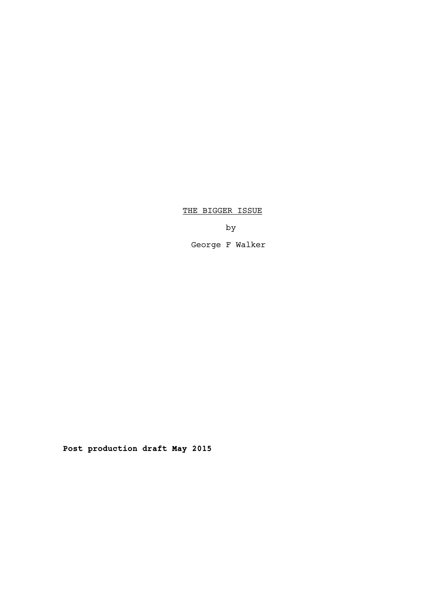# THE BIGGER ISSUE

by

George F Walker

**Post production draft May 2015**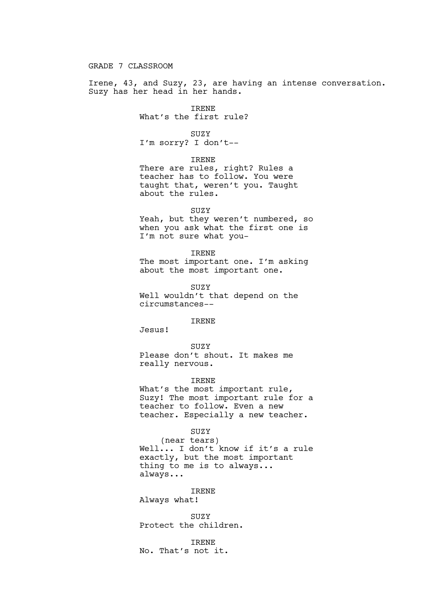GRADE 7 CLASSROOM

Irene, 43, and Suzy, 23, are having an intense conversation. Suzy has her head in her hands.

IRENE

What's the first rule?

SUZY

I'm sorry? I don't--

IRENE

There are rules, right? Rules a teacher has to follow. You were taught that, weren't you. Taught about the rules.

SUZY

Yeah, but they weren't numbered, so when you ask what the first one is I'm not sure what you-

IRENE

The most important one. I'm asking about the most important one.

SUZY

Well wouldn't that depend on the circumstances--

IRENE

Jesus!

SUZY

Please don't shout. It makes me really nervous.

IRENE

What's the most important rule, Suzy! The most important rule for a teacher to follow. Even a new teacher. Especially a new teacher.

SUZY

(near tears) Well... I don't know if it's a rule exactly, but the most important thing to me is to always... always...

IRENE

Always what!

SUZY Protect the children.

IRENE No. That's not it.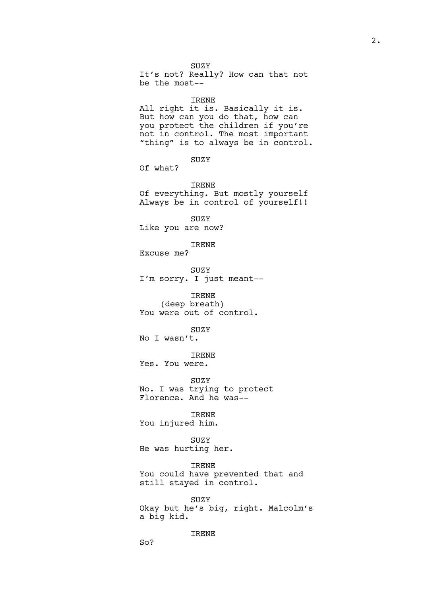2.

SUZY

It's not? Really? How can that not be the most--

### IRENE

All right it is. Basically it is. But how can you do that, how can you protect the children if you're not in control. The most important "thing" is to always be in control.

SUZY

Of what?

IRENE

Of everything. But mostly yourself Always be in control of yourself!!

SUZY Like you are now?

IRENE

Excuse me?

SUZY I'm sorry. I just meant--

IRENE (deep breath) You were out of control.

SUZY

No I wasn't.

IRENE Yes. You were.

SUZY No. I was trying to protect Florence. And he was--

IRENE You injured him.

SUZY He was hurting her.

IRENE

You could have prevented that and still stayed in control.

SUZY Okay but he's big, right. Malcolm's a big kid.

IRENE

So?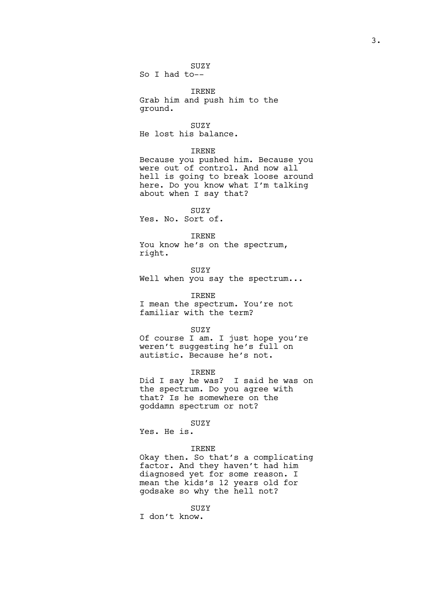SUZY

So I had to--

IRENE Grab him and push him to the ground.

SUZY He lost his balance.

### IRENE

Because you pushed him. Because you were out of control. And now all hell is going to break loose around here. Do you know what I'm talking about when I say that?

SUZY Yes. No. Sort of.

#### IRENE

You know he's on the spectrum, right.

SUZY

Well when you say the spectrum...

#### IRENE

I mean the spectrum. You're not familiar with the term?

## SUZY

Of course I am. I just hope you're weren't suggesting he's full on autistic. Because he's not.

## IRENE

Did I say he was? I said he was on the spectrum. Do you agree with that? Is he somewhere on the goddamn spectrum or not?

## SUZY

Yes. He is.

### IRENE

Okay then. So that's a complicating factor. And they haven't had him diagnosed yet for some reason. I mean the kids's 12 years old for godsake so why the hell not?

## SUZY

I don't know.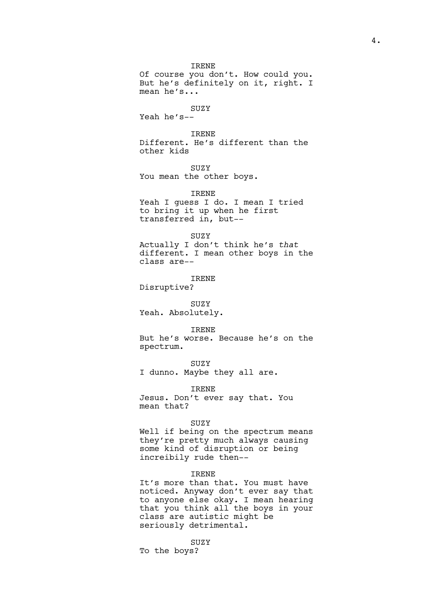## IRENE

Of course you don't. How could you. But he's definitely on it, right. I mean he's...

## SUZY

Yeah he's--

IRENE Different. He's different than the other kids

SUZY You mean the other boys.

IRENE Yeah I guess I do. I mean I tried to bring it up when he first transferred in, but--

SUZY

Actually I don't think he's *that* different. I mean other boys in the class are--

IRENE Disruptive?

SUZY

Yeah. Absolutely.

#### IRENE

But he's worse. Because he's on the spectrum.

SUZY I dunno. Maybe they all are.

IRENE Jesus. Don't ever say that. You mean that?

#### SUZY

Well if being on the spectrum means they're pretty much always causing some kind of disruption or being increibily rude then--

### IRENE

It's more than that. You must have noticed. Anyway don't ever say that to anyone else okay. I mean hearing that you think all the boys in your class are autistic might be seriously detrimental.

## SUZY

To the boys?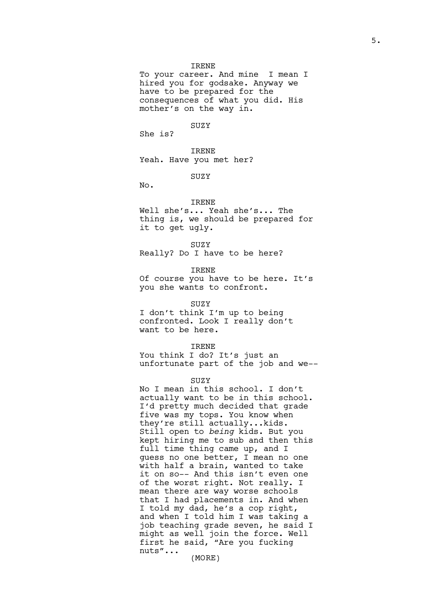### IRENE

To your career. And mine I mean I hired you for godsake. Anyway we have to be prepared for the consequences of what you did. His mother's on the way in.

SUZY

She is?

IRENE Yeah. Have you met her?

SUZY

No.

## IRENE

Well she's... Yeah she's... The thing is, we should be prepared for it to get ugly.

SUZY

Really? Do I have to be here?

IRENE

Of course you have to be here. It's you she wants to confront.

## SUZY

I don't think I'm up to being confronted. Look I really don't want to be here.

#### IRENE

You think I do? It's just an unfortunate part of the job and we--

## **SUZY**

No I mean in this school. I don't actually want to be in this school. I'd pretty much decided that grade five was my tops. You know when they're still actually...kids. Still open to *being* kids. But you kept hiring me to sub and then this full time thing came up, and I guess no one better, I mean no one with half a brain, wanted to take it on so-- And this isn't even one of the worst right. Not really. I mean there are way worse schools that I had placements in. And when I told my dad, he's a cop right, and when I told him I was taking a job teaching grade seven, he said I might as well join the force. Well first he said, "Are you fucking nuts"...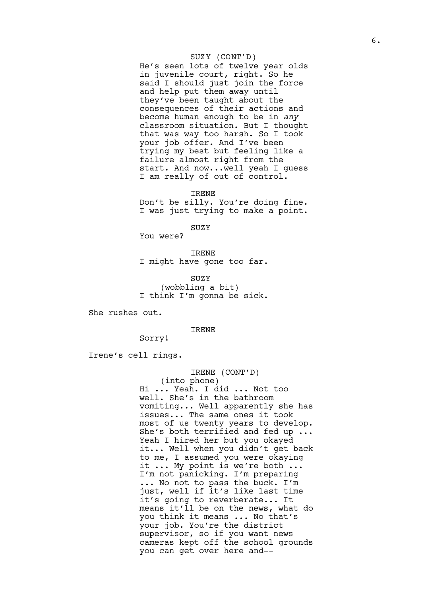## SUZY (CONT'D)

He's seen lots of twelve year olds in juvenile court, right. So he said I should just join the force and help put them away until they've been taught about the consequences of their actions and become human enough to be in *any* classroom situation. But I thought that was way too harsh. So I took your job offer. And I've been trying my best but feeling like a failure almost right from the start. And now...well yeah I guess I am really of out of control.

IRENE

Don't be silly. You're doing fine. I was just trying to make a point.

SUZY

You were?

IRENE I might have gone too far.

SUZY (wobbling a bit) I think I'm gonna be sick.

She rushes out.

### IRENE

Sorry!

Irene's cell rings.

IRENE (CONT'D) (into phone) Hi ... Yeah. I did ... Not too well. She's in the bathroom vomiting... Well apparently she has issues... The same ones it took most of us twenty years to develop. She's both terrified and fed up ... Yeah I hired her but you okayed it... Well when you didn't get back to me, I assumed you were okaying it ... My point is we're both ... I'm not panicking. I'm preparing ... No not to pass the buck. I'm just, well if it's like last time it's going to reverberate... It means it'll be on the news, what do you think it means ... No that's your job. You're the district supervisor, so if you want news cameras kept off the school grounds you can get over here and--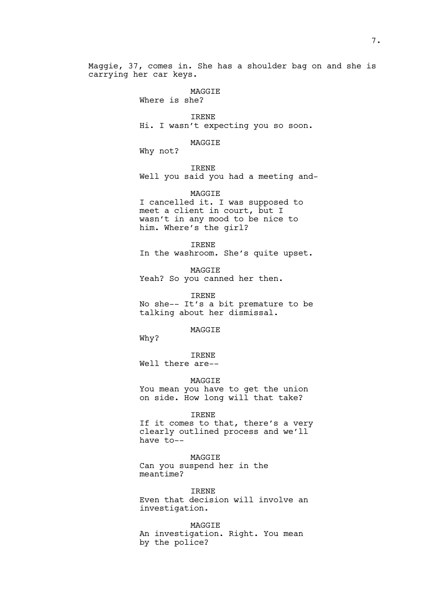Maggie, 37, comes in. She has a shoulder bag on and she is carrying her car keys.

## MAGGIE

Where is she?

IRENE Hi. I wasn't expecting you so soon.

MAGGIE

Why not?

IRENE

Well you said you had a meeting and-

MAGGIE

I cancelled it. I was supposed to meet a client in court, but I wasn't in any mood to be nice to him. Where's the girl?

IRENE

In the washroom. She's quite upset.

MAGGIE

Yeah? So you canned her then.

IRENE No she-- It's a bit premature to be talking about her dismissal.

MAGGIE

Why?

IRENE

Well there are--

MAGGIE You mean you have to get the union

on side. How long will that take?

IRENE

If it comes to that, there's a very clearly outlined process and we'll have to--

MAGGIE

Can you suspend her in the meantime?

IRENE Even that decision will involve an investigation.

MAGGIE An investigation. Right. You mean by the police?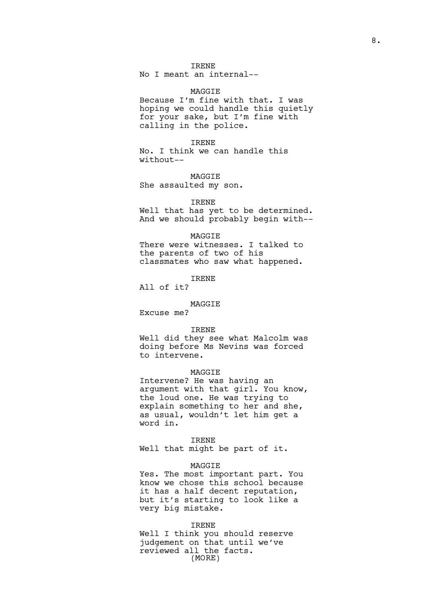## IRENE

No I meant an internal--

# MAGGIE

Because I'm fine with that. I was hoping we could handle this quietly for your sake, but I'm fine with calling in the police.

IRENE

No. I think we can handle this without--

MAGGIE She assaulted my son.

### IRENE

Well that has yet to be determined. And we should probably begin with--

#### MAGGIE

There were witnesses. I talked to the parents of two of his classmates who saw what happened.

IRENE

All of it?

## MAGGIE

Excuse me?

#### IRENE

Well did they see what Malcolm was doing before Ms Nevins was forced to intervene.

## MAGGIE

Intervene? He was having an argument with that girl. You know, the loud one. He was trying to explain something to her and she, as usual, wouldn't let him get a word in.

## IRENE

Well that might be part of it.

## MAGGIE

Yes. The most important part. You know we chose this school because it has a half decent reputation, but it's starting to look like a very big mistake.

## IRENE

Well I think you should reserve judgement on that until we've reviewed all the facts. (MORE)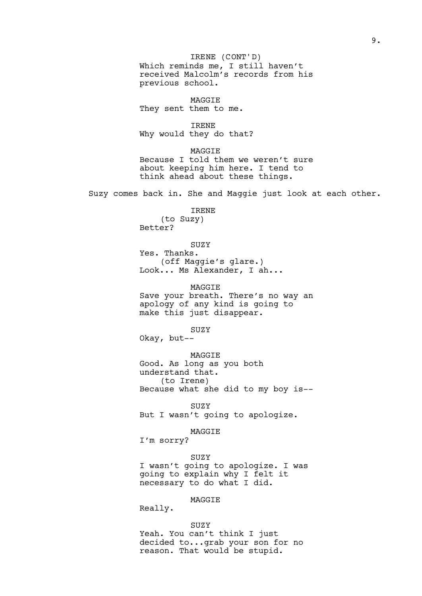Which reminds me, I still haven't received Malcolm's records from his previous school. MAGGIE They sent them to me. IRENE Why would they do that? MAGGIE Because I told them we weren't sure about keeping him here. I tend to think ahead about these things. Suzy comes back in. She and Maggie just look at each other. IRENE (to Suzy) Better? SUZY Yes. Thanks. (off Maggie's glare.) Look... Ms Alexander, I ah... MAGGIE Save your breath. There's no way an apology of any kind is going to make this just disappear. SUZY Okay, but-- MAGGIE Good. As long as you both understand that. (to Irene) Because what she did to my boy is-- SUZY But I wasn't going to apologize. MAGGIE I'm sorry? SUZY I wasn't going to apologize. I was going to explain why I felt it necessary to do what I did. MAGGIE Really. SUZY IRENE (CONT'D)

Yeah. You can't think I just decided to...grab your son for no reason. That would be stupid.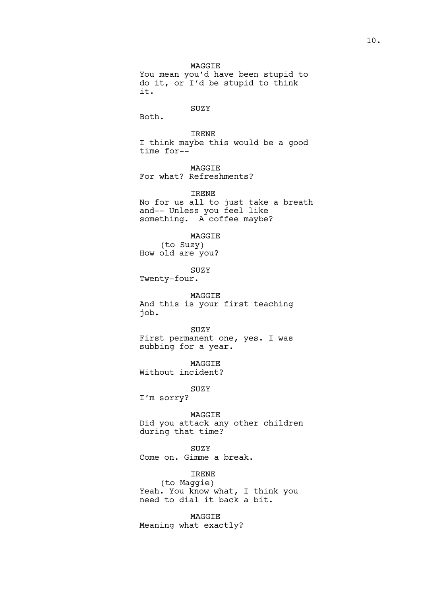MAGGIE You mean you'd have been stupid to do it, or I'd be stupid to think it.

## SUZY

Both.

IRENE I think maybe this would be a good time for--

MAGGIE For what? Refreshments?

IRENE No for us all to just take a breath and-- Unless you feel like something. A coffee maybe?

MAGGIE (to Suzy) How old are you?

SUZY

Twenty-four.

MAGGIE And this is your first teaching job.

SUZY First permanent one, yes. I was subbing for a year.

MAGGIE Without incident?

SUZY

I'm sorry?

MAGGIE Did you attack any other children during that time?

SUZY Come on. Gimme a break.

IRENE

(to Maggie) Yeah. You know what, I think you need to dial it back a bit.

MAGGIE Meaning what exactly?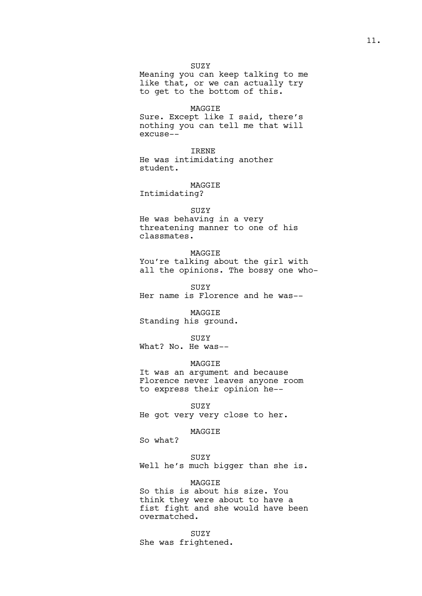SUZY

Meaning you can keep talking to me like that, or we can actually try to get to the bottom of this.

MAGGIE

Sure. Except like I said, there's nothing you can tell me that will excuse--

IRENE He was intimidating another student.

MAGGIE Intimidating?

SUZY

He was behaving in a very threatening manner to one of his classmates.

MAGGIE You're talking about the girl with all the opinions. The bossy one who-

SUZY Her name is Florence and he was--

MAGGIE Standing his ground.

SUZY What? No. He was--

MAGGIE

It was an argument and because Florence never leaves anyone room to express their opinion he--

SUZY

He got very very close to her.

MAGGIE

So what?

### SUZY

Well he's much bigger than she is.

MAGGIE

So this is about his size. You think they were about to have a fist fight and she would have been overmatched.

SUZY She was frightened.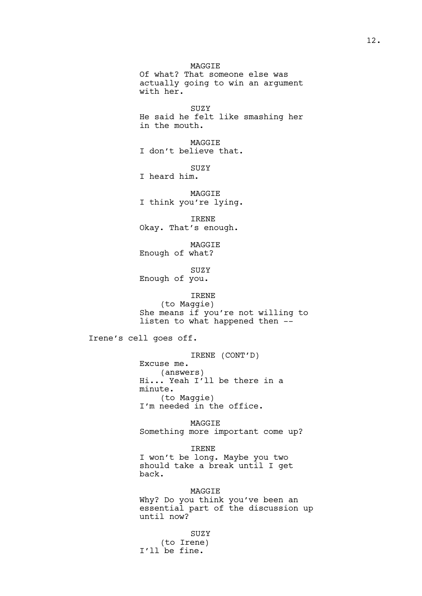MAGGIE Of what? That someone else was actually going to win an argument with her.

SUZY He said he felt like smashing her in the mouth.

MAGGIE I don't believe that.

SUZY

I heard him.

MAGGIE I think you're lying.

IRENE Okay. That's enough.

MAGGIE Enough of what?

SUZY Enough of you.

IRENE (to Maggie) She means if you're not willing to listen to what happened then --

Irene's cell goes off.

IRENE (CONT'D) Excuse me. (answers) Hi... Yeah I'll be there in a minute. (to Maggie) I'm needed in the office.

MAGGIE Something more important come up?

IRENE I won't be long. Maybe you two should take a break until I get back.

MAGGIE Why? Do you think you've been an essential part of the discussion up until now?

SUZY (to Irene) I'll be fine.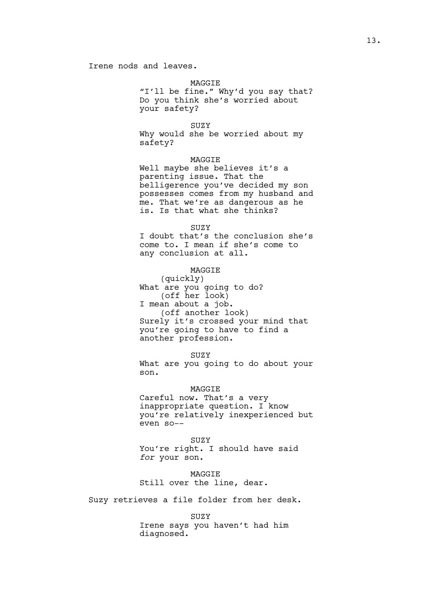#### MAGGIE

"I'll be fine." Why'd you say that? Do you think she's worried about your safety?

SUZY

Why would she be worried about my safety?

## MAGGIE

Well maybe she believes it's a parenting issue. That the belligerence you've decided my son possesses comes from my husband and me. That we're as dangerous as he is. Is that what she thinks?

### **SUZY**

I doubt that's the conclusion she's come to. I mean if she's come to any conclusion at all.

## MAGGIE

(quickly) What are you going to do? (off her look) I mean about a job. (off another look) Surely it's crossed your mind that you're going to have to find a another profession.

## SUZY

What are you going to do about your son.

## MAGGIE

Careful now. That's a very inappropriate question. I know you're relatively inexperienced but even so--

SUZY

You're right. I should have said *for* your son.

MAGGIE Still over the line, dear.

Suzy retrieves a file folder from her desk.

## SUZY

Irene says you haven't had him diagnosed.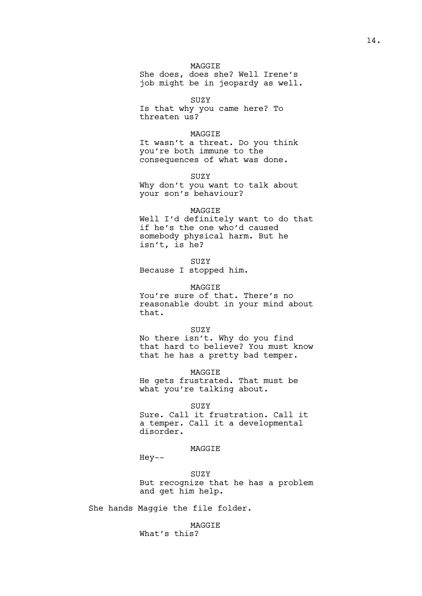## MAGGIE

She does, does she? Well Irene's job might be in jeopardy as well.

### SUZY

Is that why you came here? To threaten us?

## MAGGIE

It wasn't a threat. Do you think you're both immune to the consequences of what was done.

SUZY

Why don't you want to talk about your son's behaviour?

## MAGGIE

Well I'd definitely want to do that if he's the one who'd caused somebody physical harm. But he isn't, is he?

SUZY Because I stopped him.

# MAGGIE

You're sure of that. There's no reasonable doubt in your mind about that.

#### SUZY

No there isn't. Why do you find that hard to believe? You must know that he has a pretty bad temper.

MAGGIE

He gets frustrated. That must be what you're talking about.

SUZY

Sure. Call it frustration. Call it a temper. Call it a developmental disorder.

## MAGGIE

Hey--

SUZY But recognize that he has a problem and get him help.

She hands Maggie the file folder.

MAGGIE What's this?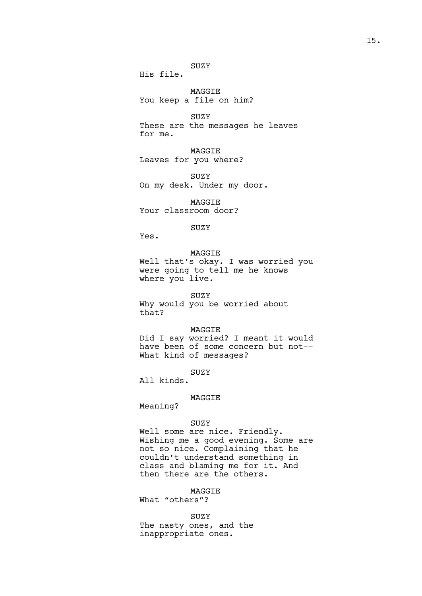His file.

MAGGIE You keep a file on him?

SUZY These are the messages he leaves for me.

MAGGIE Leaves for you where?

SUZY On my desk. Under my door.

MAGGIE Your classroom door?

**SUZY** 

Yes.

MAGGIE Well that's okay. I was worried you were going to tell me he knows where you live.

SUZY Why would you be worried about that?

### MAGGIE

Did I say worried? I meant it would have been of some concern but not-- What kind of messages?

SUZY

All kinds.

## MAGGIE

Meaning?

## SUZY

Well some are nice. Friendly. Wishing me a good evening. Some are not so nice. Complaining that he couldn't understand something in class and blaming me for it. And then there are the others.

# MAGGIE

What "others"?

SUZY

The nasty ones, and the inappropriate ones.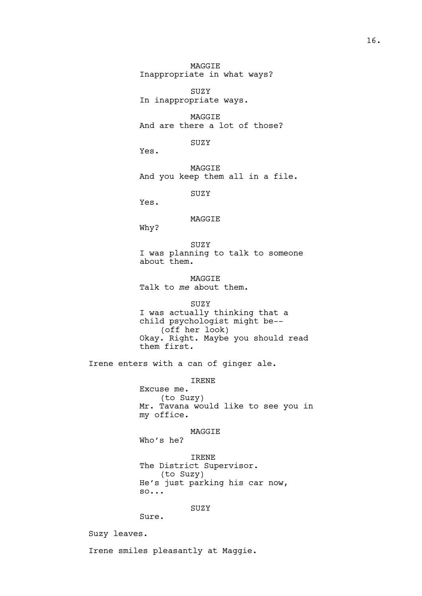MAGGIE Inappropriate in what ways?

SUZY In inappropriate ways.

MAGGIE And are there a lot of those?

SUZY

Yes.

MAGGIE And you keep them all in a file.

SUZY

Yes.

# MAGGIE

Why?

SUZY I was planning to talk to someone about them.

MAGGIE Talk to *me* about them.

SUZY I was actually thinking that a child psychologist might be-- (off her look) Okay. Right. Maybe you should read them first.

Irene enters with a can of ginger ale.

## IRENE

Excuse me. (to Suzy) Mr. Tavana would like to see you in my office.

MAGGIE

Who's he?

IRENE The District Supervisor. (to Suzy) He's just parking his car now, so...

SUZY

Sure.

Suzy leaves.

Irene smiles pleasantly at Maggie.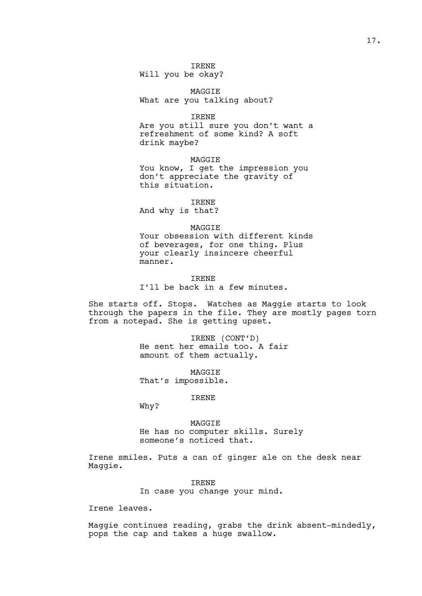## IRENE

Will you be okay?

MAGGIE What are you talking about?

IRENE Are you still sure you don't want a refreshment of some kind? A soft drink maybe?

MAGGIE You know, I get the impression you don't appreciate the gravity of this situation.

IRENE

And why is that?

## MAGGIE

Your obsession with different kinds of beverages, for one thing. Plus your clearly insincere cheerful manner.

IRENE I'll be back in a few minutes.

She starts off. Stops. Watches as Maggie starts to look through the papers in the file. They are mostly pages torn from a notepad. She is getting upset.

> IRENE (CONT'D) He sent her emails too. A fair amount of them actually.

**MAGGTE** That's impossible.

IRENE

Why?

MAGGIE He has no computer skills. Surely someone's noticed that.

Irene smiles. Puts a can of ginger ale on the desk near Maggie.

IRENE

In case you change your mind.

Irene leaves.

Maggie continues reading, grabs the drink absent-mindedly, pops the cap and takes a huge swallow.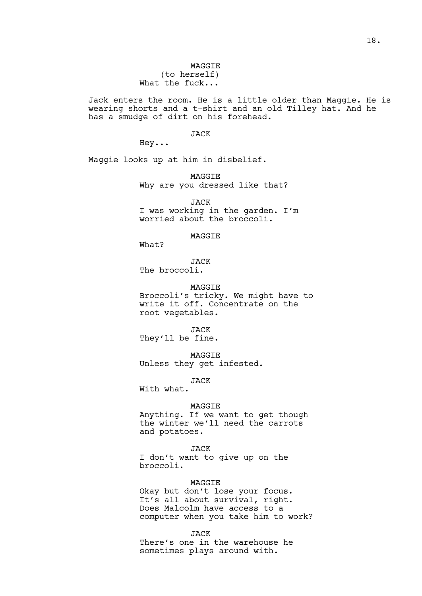18.

# MAGGIE (to herself) What the fuck...

Jack enters the room. He is a little older than Maggie. He is wearing shorts and a t-shirt and an old Tilley hat. And he has a smudge of dirt on his forehead.

JACK

Hey...

Maggie looks up at him in disbelief.

MAGGIE Why are you dressed like that?

JACK I was working in the garden. I'm worried about the broccoli.

MAGGIE

What?

JACK The broccoli.

MAGGIE

Broccoli's tricky. We might have to write it off. Concentrate on the root vegetables.

JACK They'll be fine.

MAGGIE Unless they get infested.

JACK

With what.

#### MAGGIE

Anything. If we want to get though the winter we'll need the carrots and potatoes.

JACK

I don't want to give up on the broccoli.

## MAGGIE

Okay but don't lose your focus. It's all about survival, right. Does Malcolm have access to a computer when you take him to work?

JACK

There's one in the warehouse he sometimes plays around with.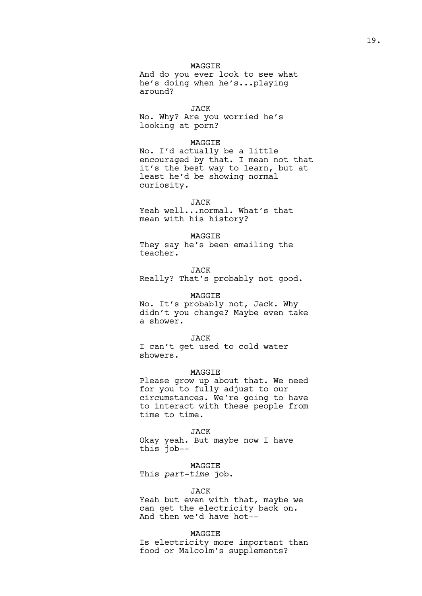## MAGGIE

And do you ever look to see what he's doing when he's...playing around?

JACK No. Why? Are you worried he's looking at porn?

## MAGGIE

No. I'd actually be a little encouraged by that. I mean not that it's the best way to learn, but at least he'd be showing normal curiosity.

#### JACK

Yeah well...normal. What's that mean with his history?

#### MAGGIE

They say he's been emailing the teacher.

#### JACK

Really? That's probably not good.

#### MAGGIE

No. It's probably not, Jack. Why didn't you change? Maybe even take a shower.

#### JACK

I can't get used to cold water showers.

## **MAGGTE**

Please grow up about that. We need for you to fully adjust to our circumstances. We're going to have to interact with these people from time to time.

#### JACK

Okay yeah. But maybe now I have this job--

## MAGGIE

This *part-time* job.

## JACK

Yeah but even with that, maybe we can get the electricity back on. And then we'd have hot--

#### MAGGIE

Is electricity more important than food or Malcolm's supplements?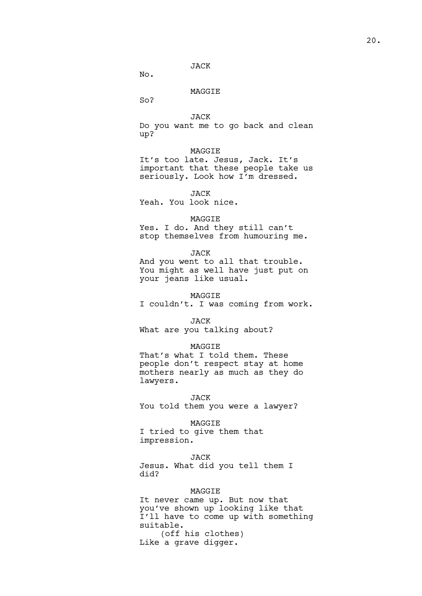## JACK

No.

## MAGGIE

So?

## JACK

Do you want me to go back and clean up?

## MAGGIE

It's too late. Jesus, Jack. It's important that these people take us seriously. Look how I'm dressed.

## JACK

Yeah. You look nice.

### MAGGIE

Yes. I do. And they still can't stop themselves from humouring me.

#### JACK

And you went to all that trouble. You might as well have just put on your jeans like usual.

### MAGGIE

I couldn't. I was coming from work.

#### JACK

What are you talking about?

#### MAGGIE

That's what I told them. These people don't respect stay at home mothers nearly as much as they do lawyers.

### JACK

You told them you were a lawyer?

# MAGGIE

I tried to give them that impression.

### JACK

Jesus. What did you tell them I did?

## MAGGIE

It never came up. But now that you've shown up looking like that I'll have to come up with something suitable. (off his clothes)

Like a grave digger.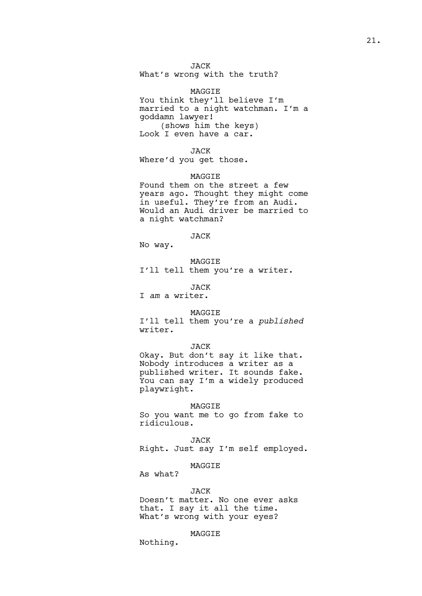JACK What's wrong with the truth?

MAGGIE You think they'll believe I'm married to a night watchman. I'm a goddamn lawyer! (shows him the keys) Look I even have a car.

JACK Where'd you get those.

MAGGIE Found them on the street a few years ago. Thought they might come in useful. They're from an Audi. Would an Audi driver be married to a night watchman?

JACK No way.

MAGGIE I'll tell them you're a writer.

JACK I *am* a writer.

MAGGIE

I'll tell them you're a *published* writer.

#### JACK

Okay. But don't say it like that. Nobody introduces a writer as a published writer. It sounds fake. You can say I'm a widely produced playwright.

MAGGIE

So you want me to go from fake to ridiculous.

JACK

Right. Just say I'm self employed.

# MAGGIE

As what?

### JACK

Doesn't matter. No one ever asks that. I say it all the time. What's wrong with your eyes?

MAGGIE

Nothing.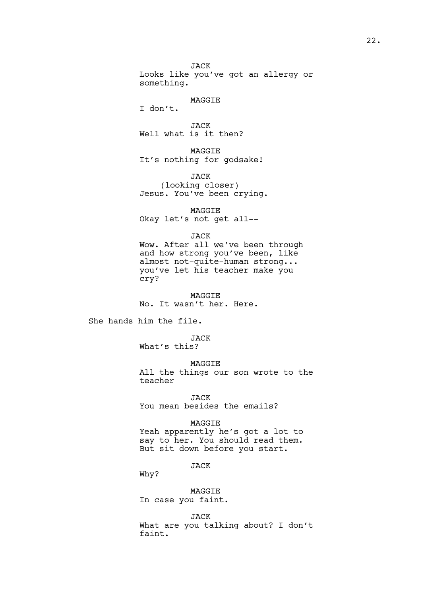JACK Looks like you've got an allergy or something.

## MAGGIE

I don't.

JACK Well what is it then?

MAGGIE It's nothing for godsake!

JACK (looking closer) Jesus. You've been crying.

MAGGIE Okay let's not get all--

JACK

Wow. After all we've been through and how strong you've been, like almost not-quite-human strong... you've let his teacher make you cry?

MAGGIE No. It wasn't her. Here.

She hands him the file.

JACK What's this?

MAGGIE All the things our son wrote to the teacher

JACK You mean besides the emails?

## MAGGIE

Yeah apparently he's got a lot to say to her. You should read them. But sit down before you start.

JACK

Why?

MAGGIE In case you faint.

JACK What are you talking about? I don't faint.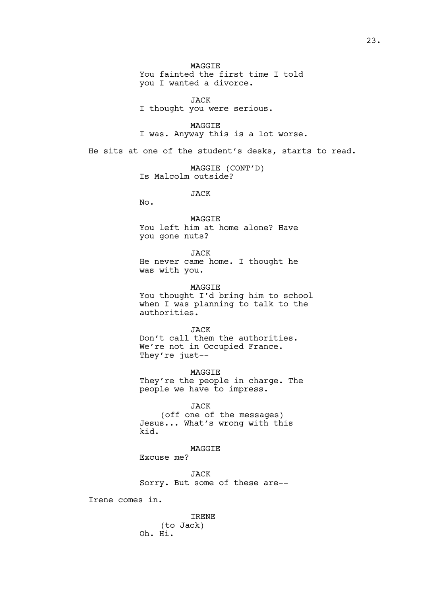MAGGIE You fainted the first time I told you I wanted a divorce.

JACK I thought you were serious.

MAGGIE I was. Anyway this is a lot worse.

He sits at one of the student's desks, starts to read.

MAGGIE (CONT'D) Is Malcolm outside?

JACK

No.

MAGGIE

You left him at home alone? Have you gone nuts?

JACK He never came home. I thought he was with you.

MAGGIE

You thought I'd bring him to school when I was planning to talk to the authorities.

JACK

Don't call them the authorities. We're not in Occupied France. They're just--

MAGGIE They're the people in charge. The people we have to impress.

JACK (off one of the messages) Jesus... What's wrong with this kid.

MAGGIE

Excuse me?

JACK Sorry. But some of these are--

Irene comes in.

IRENE (to Jack) Oh. Hi.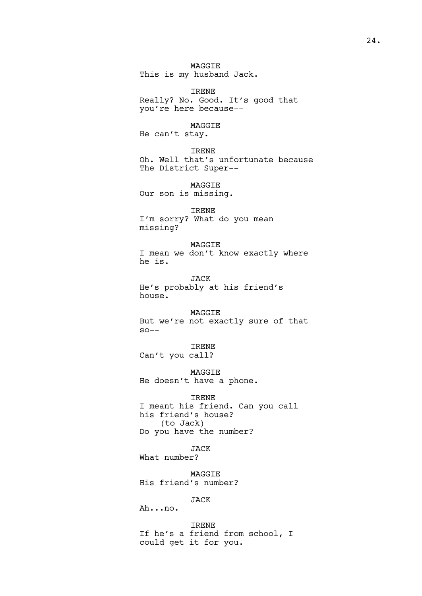MAGGIE This is my husband Jack.

IRENE Really? No. Good. It's good that you're here because--

MAGGIE He can't stay.

IRENE Oh. Well that's unfortunate because The District Super--

MAGGIE Our son is missing.

IRENE I'm sorry? What do you mean missing?

MAGGIE I mean we don't know exactly where he is.

JACK He's probably at his friend's house.

MAGGIE But we're not exactly sure of that  $SO--$ 

IRENE Can't you call?

MAGGIE He doesn't have a phone.

IRENE

I meant his friend. Can you call his friend's house? (to Jack) Do you have the number?

JACK What number?

MAGGIE His friend's number?

JACK

Ah...no.

IRENE If he's a friend from school, I could get it for you.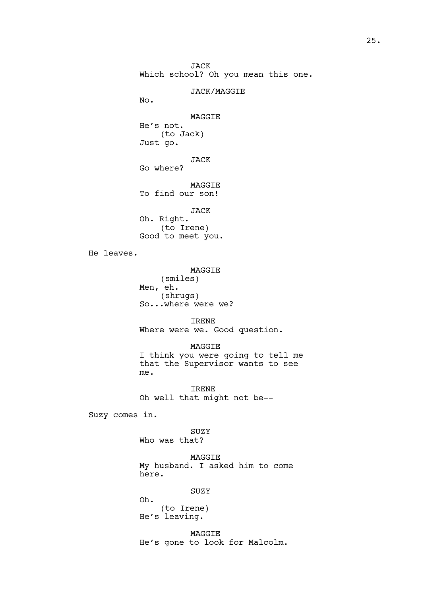JACK Which school? Oh you mean this one.

JACK/MAGGIE

No.

## MAGGIE

He's not. (to Jack) Just go.

JACK Go where?

MAGGIE

To find our son!

JACK Oh. Right. (to Irene) Good to meet you.

He leaves.

MAGGIE (smiles) Men, eh. (shrugs) So...where were we?

IRENE Where were we. Good question.

MAGGIE

I think you were going to tell me that the Supervisor wants to see me.

IRENE Oh well that might not be--

Suzy comes in.

SUZY Who was that?

MAGGIE My husband. I asked him to come here.

SUZY

Oh. (to Irene) He's leaving.

MAGGIE He's gone to look for Malcolm.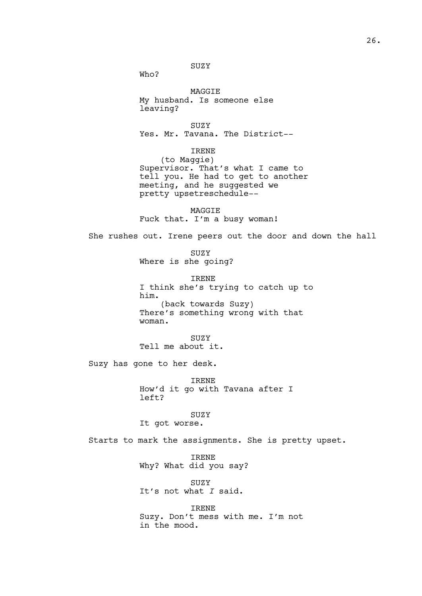SUZY

Who?

MAGGIE My husband. Is someone else leaving?

SUZY Yes. Mr. Tavana. The District--

IRENE

(to Maggie) Supervisor. That's what I came to tell you. He had to get to another meeting, and he suggested we pretty upsetreschedule--

MAGGIE Fuck that. I'm a busy woman!

She rushes out. Irene peers out the door and down the hall

SUZY Where is she going?

IRENE I think she's trying to catch up to him. (back towards Suzy) There's something wrong with that woman.

SUZY Tell me about it.

Suzy has gone to her desk.

IRENE How'd it go with Tavana after I left?

SUZY

It got worse.

Starts to mark the assignments. She is pretty upset.

IRENE Why? What did you say?

SUZY It's not what *I* said.

IRENE Suzy. Don't mess with me. I'm not in the mood.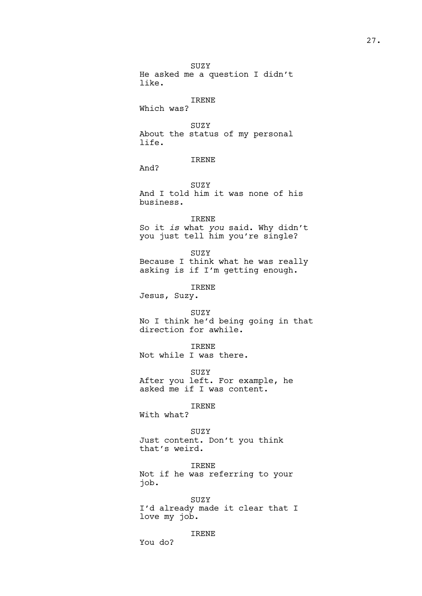SUZY He asked me a question I didn't like.

## IRENE

Which was?

SUZY About the status of my personal life.

# IRENE

And?

SUZY

And I told him it was none of his business.

## IRENE

So it *is* what *you* said. Why didn't you just tell him you're single?

SUZY Because I think what he was really asking is if I'm getting enough.

# IRENE

Jesus, Suzy.

SUZY No I think he'd being going in that direction for awhile.

### IRENE

Not while I was there.

SUZY

After you left. For example, he asked me if I was content.

IRENE

With what?

You do?

## SUZY

Just content. Don't you think that's weird.

IRENE Not if he was referring to your job.

SUZY I'd already made it clear that I love my job.

IRENE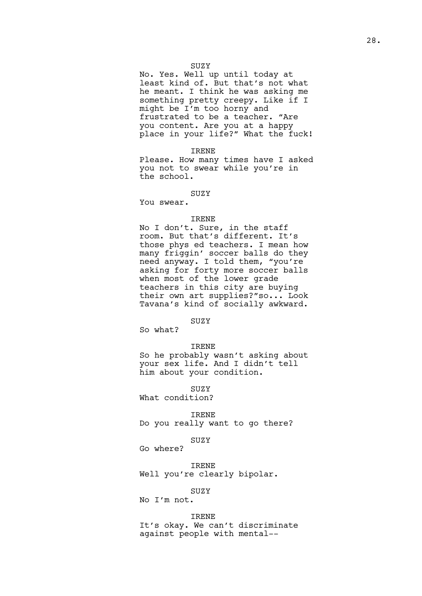### SUZY

No. Yes. Well up until today at least kind of. But that's not what he meant. I think he was asking me something pretty creepy. Like if I might be I'm too horny and frustrated to be a teacher. "Are you content. Are you at a happy place in your life?" What the fuck!

IRENE

Please. How many times have I asked you not to swear while you're in the school.

## SUZY

You swear.

### IRENE

No I don't. Sure, in the staff room. But that's different. It's those phys ed teachers. I mean how many friggin' soccer balls do they need anyway. I told them, "you're asking for forty more soccer balls when most of the lower grade teachers in this city are buying their own art supplies?"so... Look Tavana's kind of socially awkward.

SUZY

So what?

### IRENE

So he probably wasn't asking about your sex life. And I didn't tell him about your condition.

SUZY

What condition?

IRENE

Do you really want to go there?

## SUZY

Go where?

IRENE

Well you're clearly bipolar.

## SUZY

No I'm not.

### IRENE

It's okay. We can't discriminate against people with mental--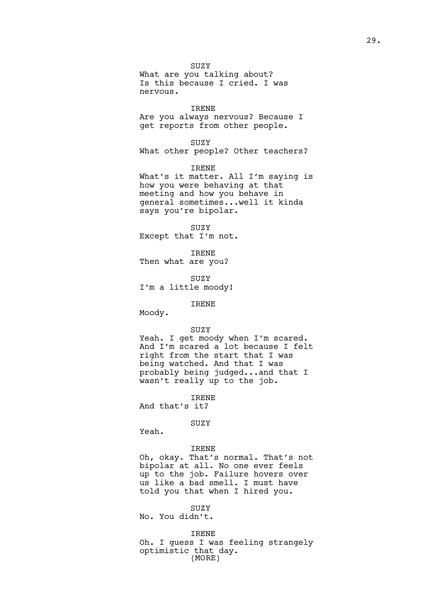SUZY

What are you talking about? Is this because I cried. I was nervous.

IRENE Are you always nervous? Because I get reports from other people.

SUZY

What other people? Other teachers?

IRENE What's it matter. All I'm saying is how you were behaving at that meeting and how you behave in general sometimes...well it kinda says you're bipolar.

SUZY Except that I'm not.

IRENE Then what are you?

SUZY I'm a little moody!

IRENE

Moody.

## SUZY

Yeah. I get moody when I'm scared. And I'm scared a lot because I felt right from the start that I was being watched. And that I was probably being judged...and that I wasn't really up to the job.

IRENE

And that's it?

SUZY

Yeah.

### IRENE

Oh, okay. That's normal. That's not bipolar at all. No one ever feels up to the job. Failure hovers over us like a bad smell. I must have told you that when I hired you.

#### SUZY

No. You didn't.

IRENE

Oh. I guess I was feeling strangely optimistic that day. (MORE)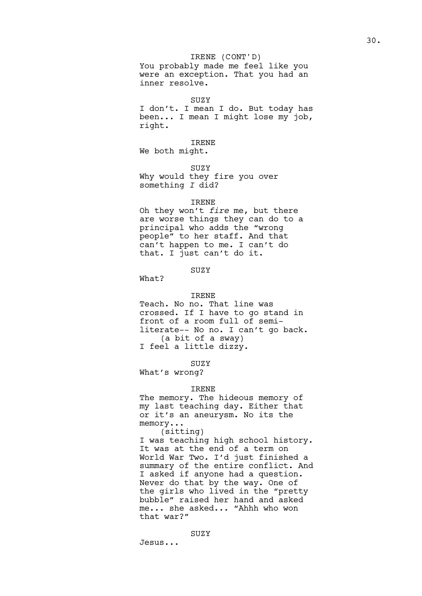# IRENE (CONT'D)

You probably made me feel like you were an exception. That you had an inner resolve.

#### **SUZY**

I don't. I mean I do. But today has been... I mean I might lose my job, right.

## IRENE

We both might.

SUZY

Why would they fire you over something *I* did?

### IRENE

Oh they won't *fire* me, but there are worse things they can do to a principal who adds the "wrong people" to her staff. And that can't happen to me. I can't do that. I just can't do it.

## SUZY

What?

#### IRENE

Teach. No no. That line was crossed. If I have to go stand in front of a room full of semiliterate-- No no. I can't go back. (a bit of a sway) I feel a little dizzy.

#### SUZY

What's wrong?

### IRENE

The memory. The hideous memory of my last teaching day. Either that or it's an aneurysm. No its the memory...

## (sitting)

I was teaching high school history. It was at the end of a term on World War Two. I'd just finished a summary of the entire conflict. And I asked if anyone had a question. Never do that by the way. One of the girls who lived in the "pretty bubble" raised her hand and asked me... she asked... "Ahhh who won that war?"

Jesus...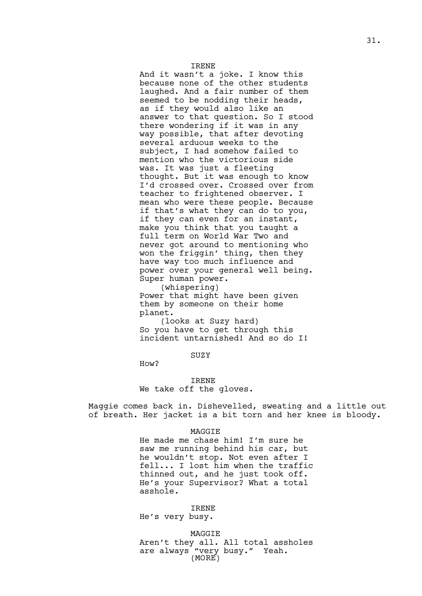#### IRENE

And it wasn't a joke. I know this because none of the other students laughed. And a fair number of them seemed to be nodding their heads, as if they would also like an answer to that question. So I stood there wondering if it was in any way possible, that after devoting several arduous weeks to the subject, I had somehow failed to mention who the victorious side was. It was just a fleeting thought. But it was enough to know I'd crossed over. Crossed over from teacher to frightened observer. I mean who were these people. Because if that's what they can do to you, if they can even for an instant, make you think that you taught a full term on World War Two and never got around to mentioning who won the friggin' thing, then they have way too much influence and power over your general well being. Super human power.

(whispering) Power that might have been given them by someone on their home planet.

(looks at Suzy hard) So you have to get through this incident untarnished! And so do I!

## SUZY

How?

## IRENE We take off the gloves.

Maggie comes back in. Dishevelled, sweating and a little out of breath. Her jacket is a bit torn and her knee is bloody.

#### MAGGIE

He made me chase him! I'm sure he saw me running behind his car, but he wouldn't stop. Not even after I fell... I lost him when the traffic thinned out, and he just took off. He's your Supervisor? What a total asshole.

### IRENE

He's very busy.

MAGGIE Aren't they all. All total assholes are always "very busy." Yeah. (MORE)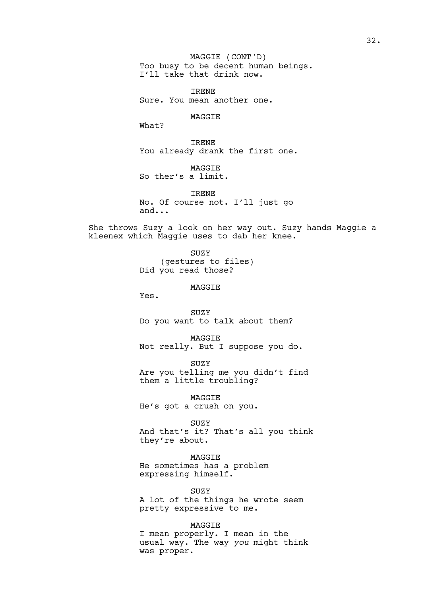Too busy to be decent human beings. I'll take that drink now. MAGGIE (CONT'D)

IRENE Sure. You mean another one.

### MAGGIE

What?

IRENE You already drank the first one.

MAGGIE So ther's a limit.

IRENE No. Of course not. I'll just go and...

She throws Suzy a look on her way out. Suzy hands Maggie a kleenex which Maggie uses to dab her knee.

> SUZY (gestures to files) Did you read those?

## MAGGIE

Yes.

SUZY Do you want to talk about them?

MAGGIE Not really. But I suppose you do.

SUZY Are you telling me you didn't find them a little troubling?

MAGGIE He's got a crush on you.

SUZY And that's it? That's all you think they're about.

MAGGIE He sometimes has a problem expressing himself.

SUZY A lot of the things he wrote seem pretty expressive to me.

## MAGGIE

I mean properly. I mean in the usual way. The way *you* might think was proper.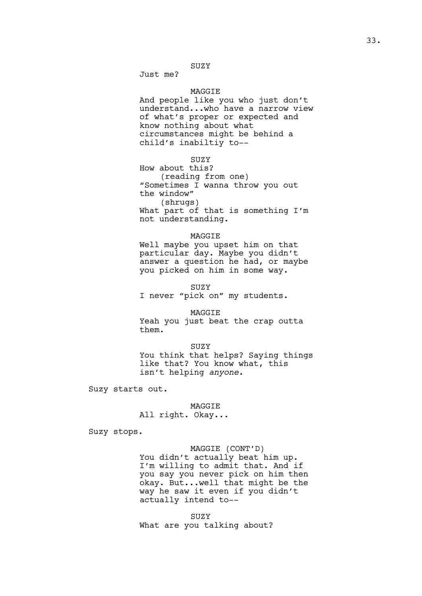# SUZY

Just me?

## MAGGIE

And people like you who just don't understand...who have a narrow view of what's proper or expected and know nothing about what circumstances might be behind a child's inabiltiy to--

**SUZY** 

How about this? (reading from one) "Sometimes I wanna throw you out the window" (shrugs) What part of that is something I'm not understanding.

#### MAGGIE

Well maybe you upset him on that particular day. Maybe you didn't answer a question he had, or maybe you picked on him in some way.

SUZY I never "pick on" my students.

MAGGIE Yeah you just beat the crap outta

SUZY

You think that helps? Saying things like that? You know what, this isn't helping *anyone*.

Suzy starts out.

them.

MAGGIE

All right. Okay...

Suzy stops.

## MAGGIE (CONT'D)

You didn't actually beat him up. I'm willing to admit that. And if you say you never pick on him then okay. But...well that might be the way he saw it even if you didn't actually intend to--

SUZY What are you talking about?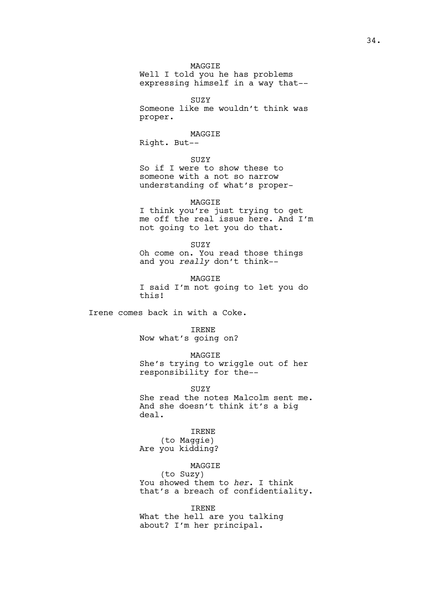## MAGGIE

Well I told you he has problems expressing himself in a way that--

SUZY

Someone like me wouldn't think was proper.

## MAGGIE

Right. But--

**SUZY** 

So if I were to show these to someone with a not so narrow understanding of what's proper-

## MAGGIE

I think you're just trying to get me off the real issue here. And I'm not going to let you do that.

SUZY

Oh come on. You read those things and you *really* don't think--

MAGGIE I said I'm not going to let you do this!

Irene comes back in with a Coke.

### IRENE

Now what's going on?

### MAGGIE

She's trying to wriggle out of her responsibility for the--

SUZY

She read the notes Malcolm sent me. And she doesn't think it's a big deal.

## IRENE

(to Maggie) Are you kidding?

## MAGGIE

(to Suzy) You showed them to *her*. I think that's a breach of confidentiality.

#### IRENE

What the hell are you talking about? I'm her principal.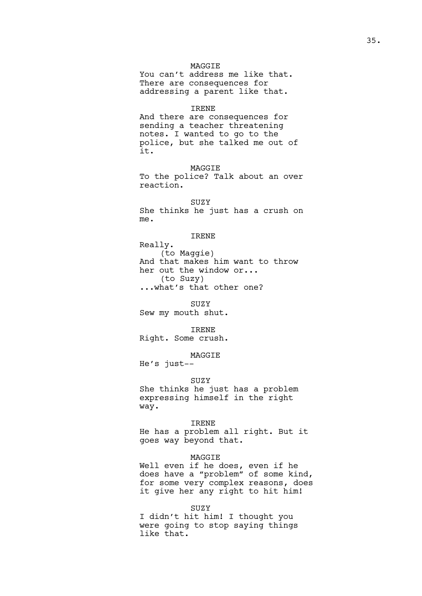## MAGGIE

You can't address me like that. There are consequences for addressing a parent like that.

#### IRENE

And there are consequences for sending a teacher threatening notes. I wanted to go to the police, but she talked me out of it.

MAGGIE To the police? Talk about an over reaction.

SUZY She thinks he just has a crush on me.

## IRENE

Really. (to Maggie) And that makes him want to throw her out the window or... (to Suzy) ...what's that other one?

SUZY Sew my mouth shut.

IRENE Right. Some crush.

MAGGIE

He's just--

#### SUZY

She thinks he just has a problem expressing himself in the right way.

#### IRENE

He has a problem all right. But it goes way beyond that.

#### MAGGIE

Well even if he does, even if he does have a "problem" of some kind, for some very complex reasons, does it give her any right to hit him!

### SUZY

I didn't hit him! I thought you were going to stop saying things like that.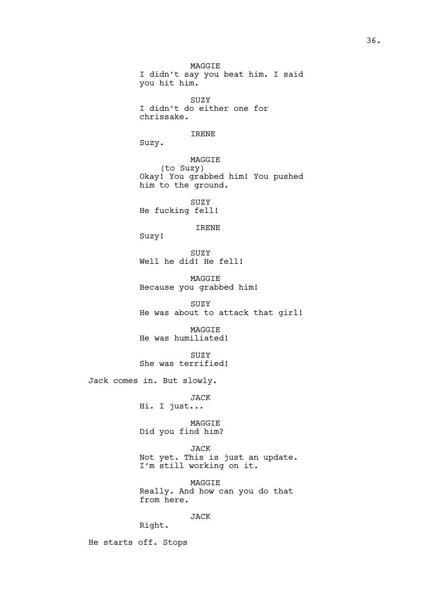MAGGIE I didn't say you beat him. I said you hit him. SUZY I didn't do either one for chrissake. IRENE Suzy. MAGGIE (to Suzy) Okay! You grabbed him! You pushed him to the ground. SUZY He fucking fell! IRENE Suzy! SUZY Well he did! He fell! MAGGIE Because you grabbed him! SUZY He was about to attack that girl! MAGGIE He was humiliated! SUZY She was terrified! Jack comes in. But slowly. JACK Hi. I just... MAGGIE Did you find him? JACK Not yet. This is just an update. I'm still working on it. MAGGIE Really. And how can you do that from here. JACK Right.

He starts off. Stops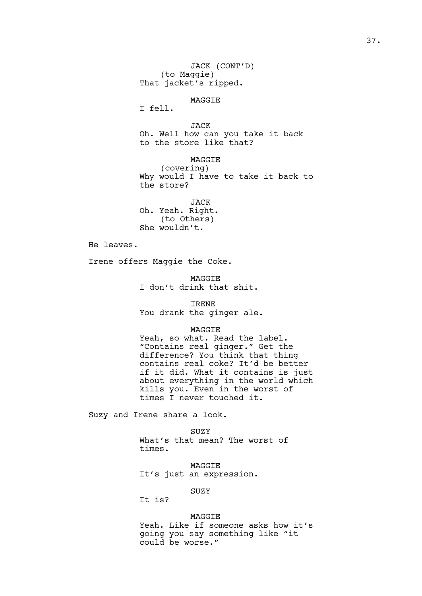JACK (CONT'D) (to Maggie) That jacket's ripped.

MAGGIE

I fell.

JACK Oh. Well how can you take it back to the store like that?

MAGGIE (covering) Why would I have to take it back to the store?

JACK Oh. Yeah. Right. (to Others) She wouldn't.

He leaves.

Irene offers Maggie the Coke.

MAGGIE I don't drink that shit.

IRENE You drank the ginger ale.

### MAGGIE

Yeah, so what. Read the label. "Contains real ginger." Get the difference? You think that thing contains real coke? It'd be better if it did. What it contains is just about everything in the world which kills you. Even in the worst of times I never touched it.

Suzy and Irene share a look.

### SUZY

What's that mean? The worst of times.

MAGGIE It's just an expression.

# SUZY

It is?

### MAGGIE

Yeah. Like if someone asks how it's going you say something like "it could be worse."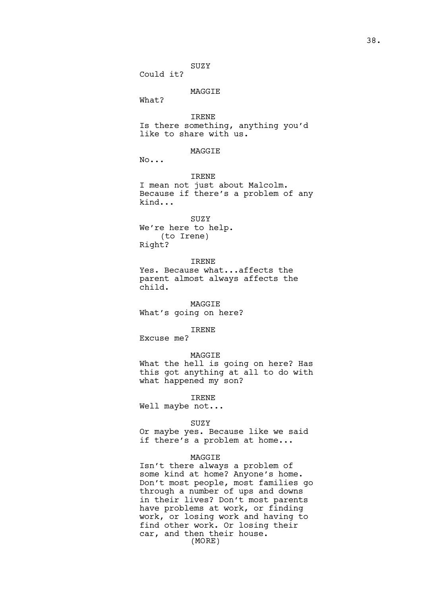### SUZY

Could it?

### MAGGIE

What?

IRENE

Is there something, anything you'd like to share with us.

### **MAGGTE**

No...

### IRENE

I mean not just about Malcolm. Because if there's a problem of any kind...

#### SUZY

We're here to help. (to Irene) Right?

#### IRENE

Yes. Because what...affects the parent almost always affects the child.

#### MAGGIE

What's going on here?

#### IRENE

Excuse me?

### MAGGIE

What the hell is going on here? Has this got anything at all to do with what happened my son?

#### IRENE

Well maybe not...

#### SUZY

Or maybe yes. Because like we said if there's a problem at home...

### MAGGIE

Isn't there always a problem of some kind at home? Anyone's home. Don't most people, most families go through a number of ups and downs in their lives? Don't most parents have problems at work, or finding work, or losing work and having to find other work. Or losing their car, and then their house. (MORE)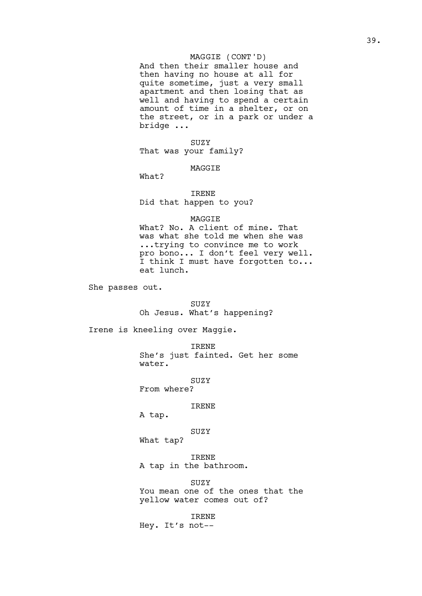### MAGGIE (CONT'D)

And then their smaller house and then having no house at all for quite sometime, just a very small apartment and then losing that as well and having to spend a certain amount of time in a shelter, or on the street, or in a park or under a bridge ...

SUZY That was your family?

### MAGGIE

What?

IRENE Did that happen to you?

### MAGGIE

What? No. A client of mine. That was what she told me when she was ...trying to convince me to work pro bono... I don't feel very well. I think I must have forgotten to... eat lunch.

She passes out.

SUZY Oh Jesus. What's happening?

Irene is kneeling over Maggie.

IRENE She's just fainted. Get her some water.

**SUZY** 

From where?

IRENE

A tap.

SUZY

What tap?

IRENE A tap in the bathroom.

SUZY You mean one of the ones that the yellow water comes out of?

IRENE Hey. It's not--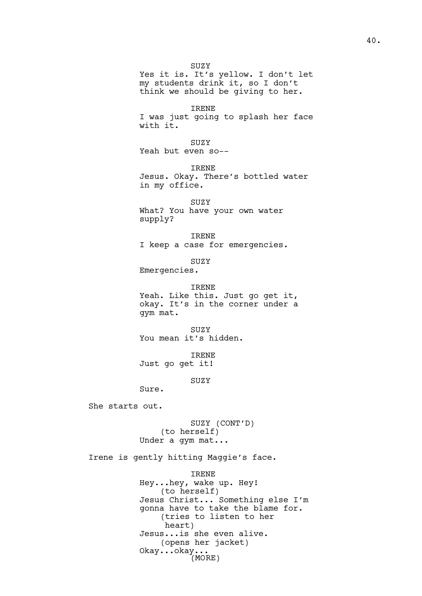SUZY Yes it is. It's yellow. I don't let my students drink it, so I don't think we should be giving to her. IRENE I was just going to splash her face with it. SUZY Yeah but even so-- IRENE Jesus. Okay. There's bottled water in my office. SUZY What? You have your own water supply? IRENE I keep a case for emergencies. SUZY Emergencies. IRENE Yeah. Like this. Just go get it, okay. It's in the corner under a gym mat. SUZY You mean it's hidden. IRENE Just go get it! **SUZY** Sure. She starts out. SUZY (CONT'D) (to herself) Under a gym mat... Irene is gently hitting Maggie's face. IRENE Hey...hey, wake up. Hey! (to herself) Jesus Christ... Something else I'm gonna have to take the blame for. (tries to listen to her heart) Jesus...is she even alive. (opens her jacket) Okay...okay... (MORE)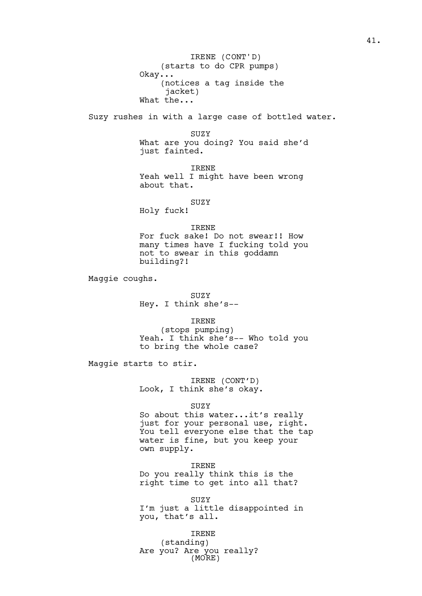(starts to do CPR pumps) Okay... (notices a tag inside the jacket) What the... IRENE (CONT'D)

Suzy rushes in with a large case of bottled water.

SUZY What are you doing? You said she'd just fainted.

IRENE Yeah well I might have been wrong about that.

SUZY

Holy fuck!

### IRENE

For fuck sake! Do not swear!! How many times have I fucking told you not to swear in this goddamn building?!

Maggie coughs.

SUZY Hey. I think she's--

IRENE

(stops pumping) Yeah. I think she's-- Who told you to bring the whole case?

Maggie starts to stir.

IRENE (CONT'D) Look, I think she's okay.

SUZY

So about this water...it's really just for your personal use, right. You tell everyone else that the tap water is fine, but you keep your own supply.

IRENE Do you really think this is the right time to get into all that?

SUZY I'm just a little disappointed in you, that's all.

IRENE (standing) Are you? Are you really? (MORE)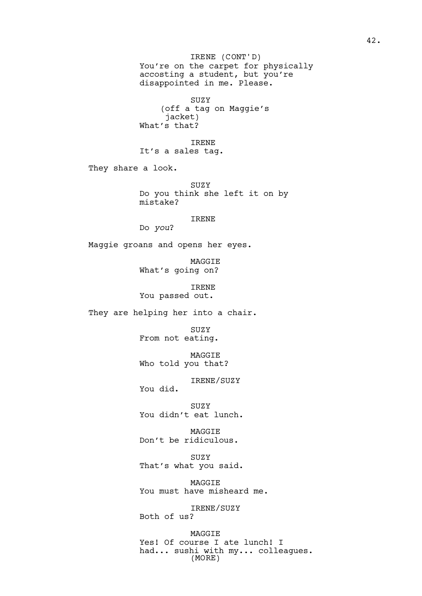You're on the carpet for physically accosting a student, but you're disappointed in me. Please. IRENE (CONT'D)

SUZY (off a tag on Maggie's jacket) What's that?

IRENE It's a sales tag.

They share a look.

SUZY Do you think she left it on by mistake?

IRENE

Do *you*?

Maggie groans and opens her eyes.

MAGGIE What's going on?

IRENE You passed out.

They are helping her into a chair.

SUZY From not eating.

MAGGIE Who told you that?

IRENE/SUZY

You did.

SUZY You didn't eat lunch.

MAGGIE Don't be ridiculous.

SUZY That's what you said.

MAGGIE You must have misheard me.

IRENE/SUZY Both of us?

MAGGIE Yes! Of course I ate lunch! I had... sushi with my... colleagues. (MORE)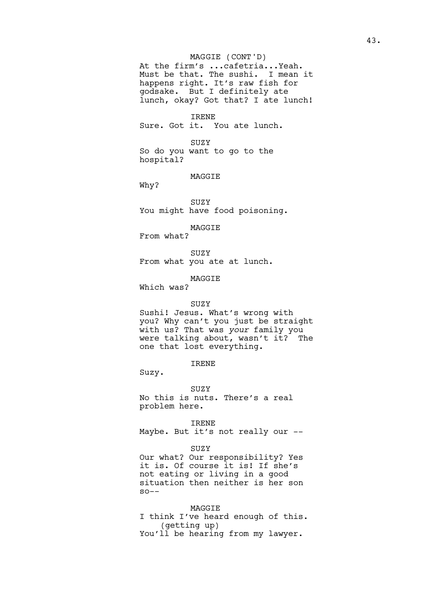### MAGGIE (CONT'D)

At the firm's ...cafetria...Yeah. Must be that. The sushi. I mean it happens right. It's raw fish for godsake. But I definitely ate lunch, okay? Got that? I ate lunch!

IRENE

Sure. Got it. You ate lunch.

SUZY So do you want to go to the hospital?

#### MAGGIE

Why?

SUZY You might have food poisoning.

MAGGIE

From what?

SUZY From what you ate at lunch.

MAGGIE

Which was?

### SUZY

Sushi! Jesus. What's wrong with you? Why can't you just be straight with us? That was *your* family you were talking about, wasn't it? The one that lost everything.

### IRENE

Suzy.

SUZY

No this is nuts. There's a real problem here.

IRENE

Maybe. But it's not really our --

#### SUZY

Our what? Our responsibility? Yes it is. Of course it is! If she's not eating or living in a good situation then neither is her son  $SO--$ 

#### MAGGIE

I think I've heard enough of this. (getting up) You'll be hearing from my lawyer.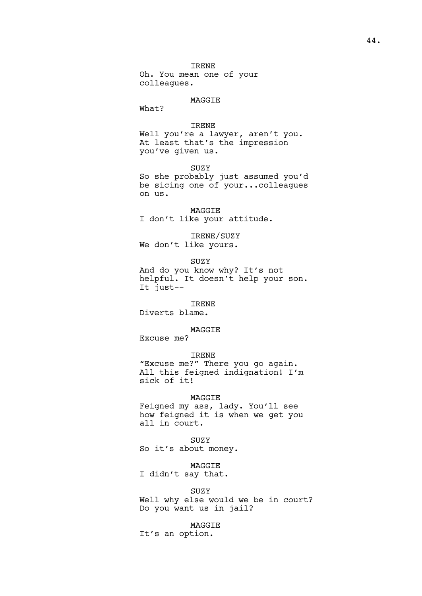IRENE Oh. You mean one of your colleagues.

#### MAGGIE

What?

### IRENE

Well you're a lawyer, aren't you. At least that's the impression you've given us.

#### SUZY

So she probably just assumed you'd be sicing one of your...colleagues on us.

MAGGIE I don't like your attitude.

# IRENE/SUZY

We don't like yours.

SUZY

And do you know why? It's not helpful. It doesn't help your son. It just--

### IRENE

Diverts blame.

### MAGGIE

Excuse me?

#### IRENE

"Excuse me?" There you go again. All this feigned indignation! I'm sick of it!

#### MAGGIE

Feigned my ass, lady. You'll see how feigned it is when we get you all in court.

#### SUZY

So it's about money.

### MAGGIE

I didn't say that.

#### SUZY

Well why else would we be in court? Do you want us in jail?

### MAGGIE

It's an option.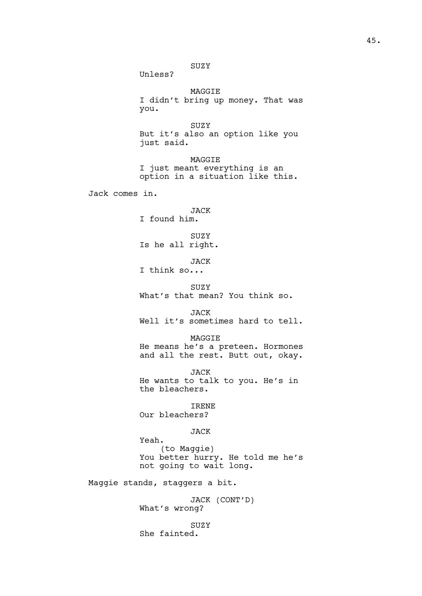SUZY Unless? MAGGIE I didn't bring up money. That was you. SUZY But it's also an option like you just said. MAGGIE I just meant everything is an option in a situation like this. Jack comes in. JACK I found him. SUZY Is he all right. JACK I think so... SUZY What's that mean? You think so. JACK Well it's sometimes hard to tell. MAGGIE He means he's a preteen. Hormones and all the rest. Butt out, okay. JACK He wants to talk to you. He's in the bleachers. IRENE Our bleachers? JACK Yeah. (to Maggie) You better hurry. He told me he's not going to wait long. Maggie stands, staggers a bit. JACK (CONT'D) What's wrong? SUZY She fainted.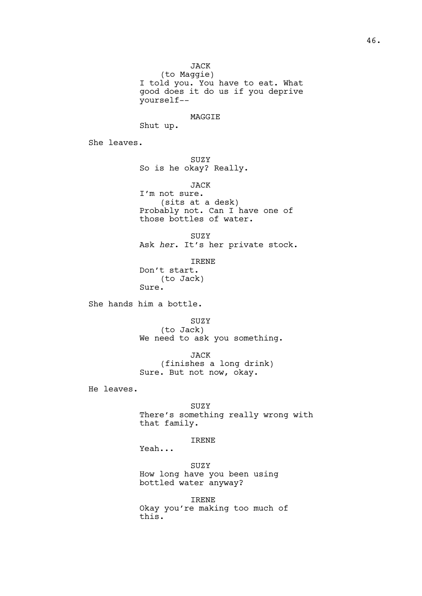JACK

(to Maggie) I told you. You have to eat. What good does it do us if you deprive yourself--

MAGGIE

Shut up.

She leaves.

SUZY So is he okay? Really.

JACK I'm not sure. (sits at a desk) Probably not. Can I have one of those bottles of water.

SUZY Ask *her*. It's her private stock.

IRENE Don't start. (to Jack) Sure.

She hands him a bottle.

SUZY (to Jack) We need to ask you something.

JACK (finishes a long drink) Sure. But not now, okay.

He leaves.

SUZY There's something really wrong with that family.

IRENE

Yeah...

SUZY How long have you been using bottled water anyway?

IRENE Okay you're making too much of this.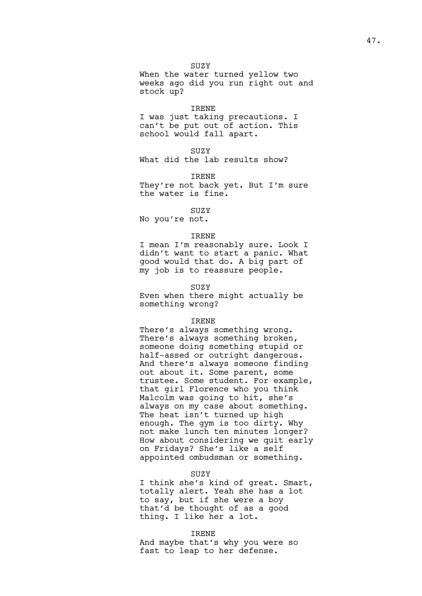SUZY When the water turned yellow two weeks ago did you run right out and stock up?

#### IRENE

I was just taking precautions. I can't be put out of action. This school would fall apart.

**SUZY** 

What did the lab results show?

IRENE They're not back yet. But I'm sure the water is fine.

### SUZY

No you're not.

#### IRENE

I mean I'm reasonably sure. Look I didn't want to start a panic. What good would that do. A big part of my job is to reassure people.

#### SUZY

Even when there might actually be something wrong?

#### IRENE

There's always something wrong. There's always something broken, someone doing something stupid or half-assed or outright dangerous. And there's always someone finding out about it. Some parent, some trustee. Some student. For example, that girl Florence who you think Malcolm was going to hit, she's always on my case about something. The heat isn't turned up high enough. The gym is too dirty. Why not make lunch ten minutes longer? How about considering we quit early on Fridays? She's like a self appointed ombudsman or something.

#### SUZY

I think she's kind of great. Smart, totally alert. Yeah she has a lot to say, but if she were a boy that'd be thought of as a good thing. I like her a lot.

#### IRENE

And maybe that's why you were so fast to leap to her defense.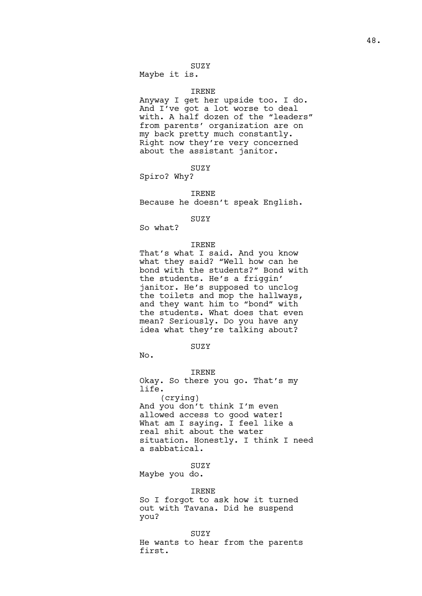### SUZY

Maybe it is.

#### IRENE

Anyway I get her upside too. I do. And I've got a lot worse to deal with. A half dozen of the "leaders" from parents' organization are on my back pretty much constantly. Right now they're very concerned about the assistant janitor.

SUZY

Spiro? Why?

IRENE Because he doesn't speak English.

#### SUZY

So what?

### IRENE

That's what I said. And you know what they said? "Well how can he bond with the students?" Bond with the students. He's a friggin' janitor. He's supposed to unclog the toilets and mop the hallways, and they want him to "bond" with the students. What does that even mean? Seriously. Do you have any idea what they're talking about?

### SUZY

No.

IRENE Okay. So there you go. That's my life. (crying) And you don't think I'm even allowed access to good water! What am I saying. I feel like a real shit about the water situation. Honestly. I think I need a sabbatical.

### SUZY

Maybe you do.

#### IRENE

So I forgot to ask how it turned out with Tavana. Did he suspend you?

#### SUZY

He wants to hear from the parents first.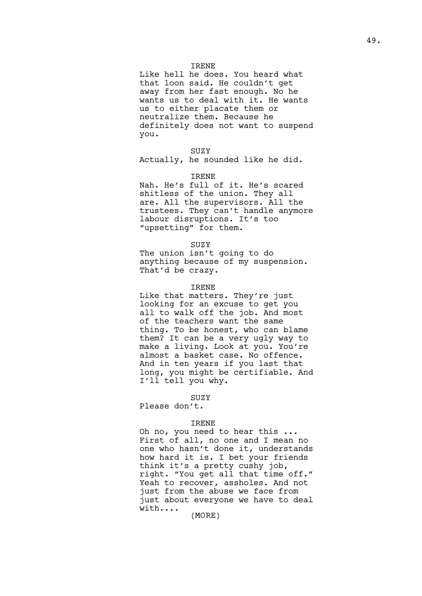#### IRENE

Like hell he does. You heard what that loon said. He couldn't get away from her fast enough. No he wants us to deal with it. He wants us to either placate them or neutralize them. Because he definitely does not want to suspend you.

#### SUZY

Actually, he sounded like he did.

#### IRENE

Nah. He's full of it. He's scared shitless of the union. They all are. All the supervisors. All the trustees. They can't handle anymore labour disruptions. It's too "upsetting" for them.

#### SUZY

The union isn't going to do anything because of my suspension. That'd be crazy.

#### IRENE

Like that matters. They're just looking for an excuse to get you all to walk off the job. And most of the teachers want the same thing. To be honest, who can blame them? It can be a very ugly way to make a living. Look at you. You're almost a basket case. No offence. And in ten years if you last that long, you might be certifiable. And I'll tell you why.

#### SUZY

Please don't.

#### IRENE

Oh no, you need to hear this ... First of all, no one and I mean no one who hasn't done it, understands how hard it is. I bet your friends think it's a pretty cushy job, right. "You get all that time off." Yeah to recover, assholes. And not just from the abuse we face from just about everyone we have to deal with....

(MORE)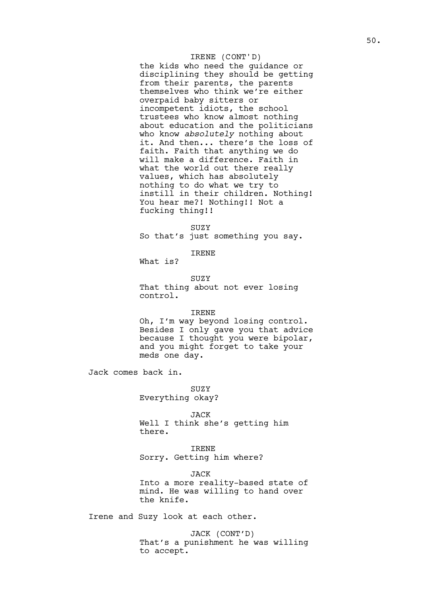### IRENE (CONT'D)

the kids who need the guidance or disciplining they should be getting from their parents, the parents themselves who think we're either overpaid baby sitters or incompetent idiots, the school trustees who know almost nothing about education and the politicians who know *absolutely* nothing about it. And then... there's the loss of faith. Faith that anything we do will make a difference. Faith in what the world out there really values, which has absolutely nothing to do what we try to instill in their children. Nothing! You hear me?! Nothing!! Not a fucking thing!!

**SUZY** So that's just something you say.

### IRENE

What is?

SUZY That thing about not ever losing control.

#### IRENE

Oh, I'm way beyond losing control. Besides I only gave you that advice because I thought you were bipolar, and you might forget to take your meds one day.

Jack comes back in.

### SUZY Everything okay?

JACK Well I think she's getting him there.

IRENE Sorry. Getting him where?

JACK Into a more reality-based state of mind. He was willing to hand over the knife.

Irene and Suzy look at each other.

JACK (CONT'D) That's a punishment he was willing to accept.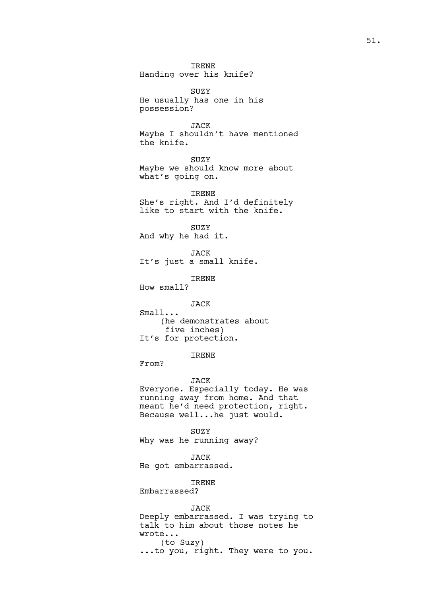IRENE Handing over his knife?

SUZY He usually has one in his possession?

JACK Maybe I shouldn't have mentioned the knife.

**SUZY** Maybe we should know more about what's going on.

IRENE She's right. And I'd definitely like to start with the knife.

**SUZY** And why he had it.

JACK It's just a small knife.

IRENE

How small?

JACK

Small...

(he demonstrates about five inches) It's for protection.

IRENE

From?

### JACK

Everyone. Especially today. He was running away from home. And that meant he'd need protection, right. Because well...he just would.

SUZY

Why was he running away?

JACK

He got embarrassed.

IRENE

Embarrassed?

JACK

Deeply embarrassed. I was trying to talk to him about those notes he wrote... (to Suzy) ...to you, right. They were to you.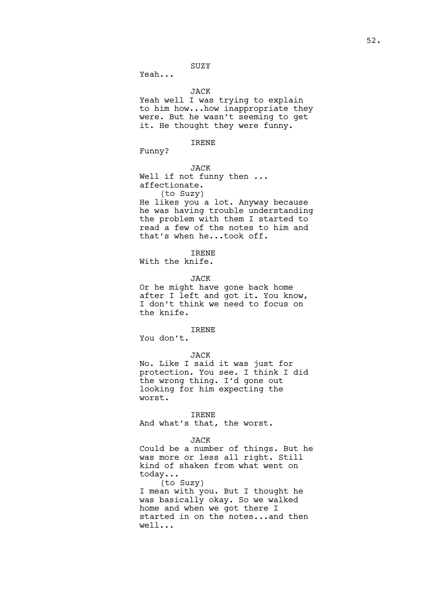SUZY

Yeah...

JACK

Yeah well I was trying to explain to him how...how inappropriate they were. But he wasn't seeming to get it. He thought they were funny.

IRENE

Funny?

JACK Well if not funny then ... affectionate. (to Suzy) He likes you a lot. Anyway because he was having trouble understanding the problem with them I started to read a few of the notes to him and that's when he...took off.

IRENE

With the knife.

JACK

Or he might have gone back home after I left and got it. You know, I don't think we need to focus on the knife.

### IRENE

You don't.

#### JACK

No. Like I said it was just for protection. You see. I think I did the wrong thing. I'd gone out looking for him expecting the worst.

#### IRENE

And what's that, the worst.

#### JACK

Could be a number of things. But he was more or less all right. Still kind of shaken from what went on today... (to Suzy)

I mean with you. But I thought he was basically okay. So we walked home and when we got there I started in on the notes...and then well...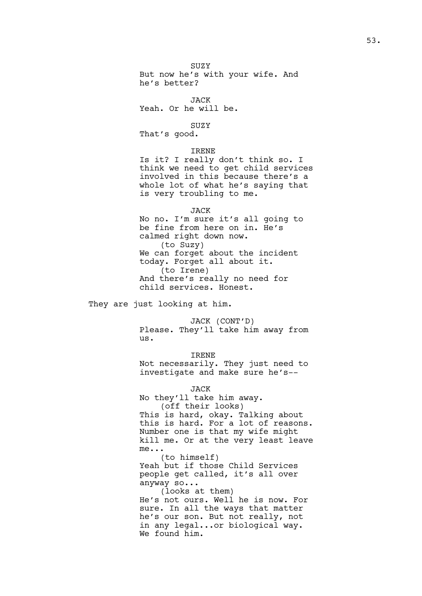SUZY But now he's with your wife. And he's better?

JACK Yeah. Or he will be.

SUZY That's good.

#### IRENE

Is it? I really don't think so. I think we need to get child services involved in this because there's a whole lot of what he's saying that is very troubling to me.

#### JACK

No no. I'm sure it's all going to be fine from here on in. He's calmed right down now. (to Suzy) We can forget about the incident today. Forget all about it. (to Irene) And there's really no need for child services. Honest.

They are just looking at him.

JACK (CONT'D) Please. They'll take him away from us.

#### IRENE

Not necessarily. They just need to investigate and make sure he's--

#### JACK

No they'll take him away. (off their looks) This is hard, okay. Talking about this is hard. For a lot of reasons. Number one is that my wife might kill me. Or at the very least leave me... (to himself) Yeah but if those Child Services people get called, it's all over anyway so... (looks at them) He's not ours. Well he is now. For sure. In all the ways that matter he's our son. But not really, not in any legal...or biological way. We found him.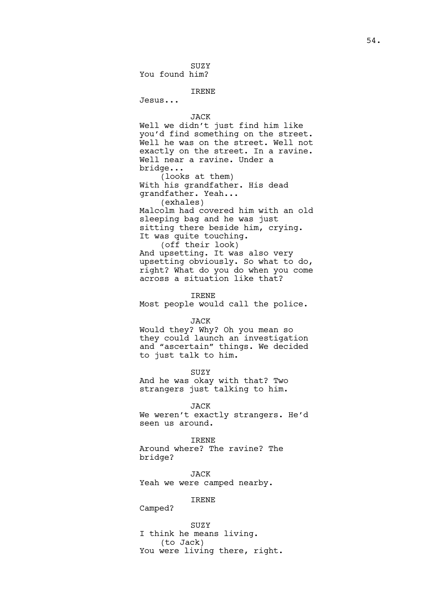SUZY You found him?

### IRENE

Jesus...

#### JACK

Well we didn't just find him like you'd find something on the street. Well he was on the street. Well not exactly on the street. In a ravine. Well near a ravine. Under a bridge...

(looks at them) With his grandfather. His dead grandfather. Yeah... (exhales) Malcolm had covered him with an old sleeping bag and he was just sitting there beside him, crying. It was quite touching. (off their look) And upsetting. It was also very

upsetting obviously. So what to do, right? What do you do when you come across a situation like that?

#### IRENE

Most people would call the police.

#### JACK

Would they? Why? Oh you mean so they could launch an investigation and "ascertain" things. We decided to just talk to him.

**SUZY** 

And he was okay with that? Two strangers just talking to him.

JACK

We weren't exactly strangers. He'd seen us around.

#### IRENE

Around where? The ravine? The bridge?

JACK Yeah we were camped nearby.

# IRENE

Camped?

SUZY I think he means living. (to Jack) You were living there, right.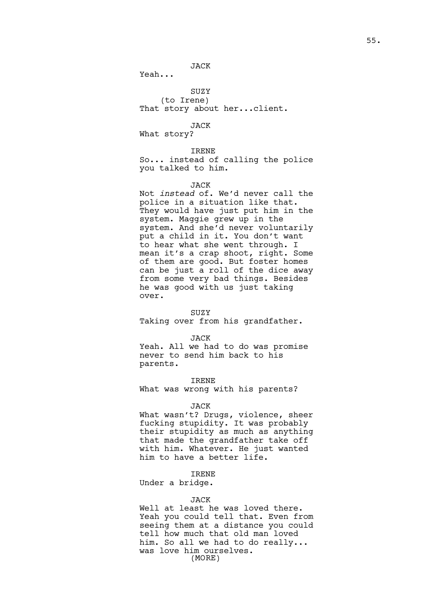### JACK

Yeah...

### SUZY

(to Irene) That story about her...client.

### JACK

What story?

#### IRENE

So... instead of calling the police you talked to him.

#### JACK

Not *instead* of. We'd never call the police in a situation like that. They would have just put him in the system. Maggie grew up in the system. And she'd never voluntarily put a child in it. You don't want to hear what she went through. I mean it's a crap shoot, right. Some of them are good. But foster homes can be just a roll of the dice away from some very bad things. Besides he was good with us just taking over.

#### **SUZY**

Taking over from his grandfather.

#### JACK

Yeah. All we had to do was promise never to send him back to his parents.

### IRENE

What was wrong with his parents?

#### JACK

What wasn't? Drugs, violence, sheer fucking stupidity. It was probably their stupidity as much as anything that made the grandfather take off with him. Whatever. He just wanted him to have a better life.

### IRENE

Under a bridge.

#### JACK

Well at least he was loved there. Yeah you could tell that. Even from seeing them at a distance you could tell how much that old man loved him. So all we had to do really... was love him ourselves. (MORE)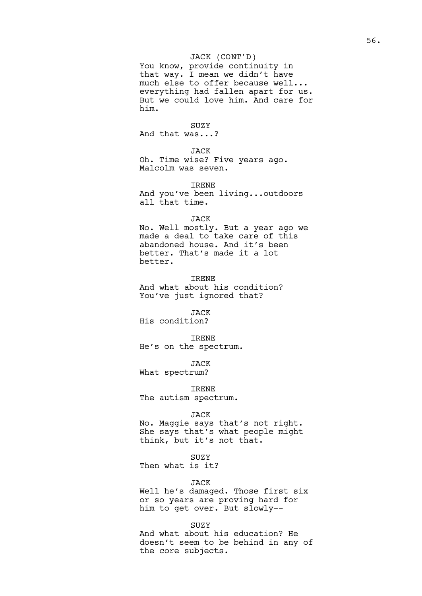### JACK (CONT'D)

You know, provide continuity in that way. I mean we didn't have much else to offer because well... everything had fallen apart for us. But we could love him. And care for him.

#### SUZY

And that was...?

JACK

Oh. Time wise? Five years ago. Malcolm was seven.

IRENE

And you've been living...outdoors all that time.

#### JACK

No. Well mostly. But a year ago we made a deal to take care of this abandoned house. And it's been better. That's made it a lot better.

IRENE And what about his condition? You've just ignored that?

JACK His condition?

IRENE He's on the spectrum.

JACK

What spectrum?

IRENE The autism spectrum.

#### JACK

No. Maggie says that's not right. She says that's what people might think, but it's not that.

### SUZY

Then what is it?

### JACK

Well he's damaged. Those first six or so years are proving hard for him to get over. But slowly--

### SUZY

And what about his education? He doesn't seem to be behind in any of the core subjects.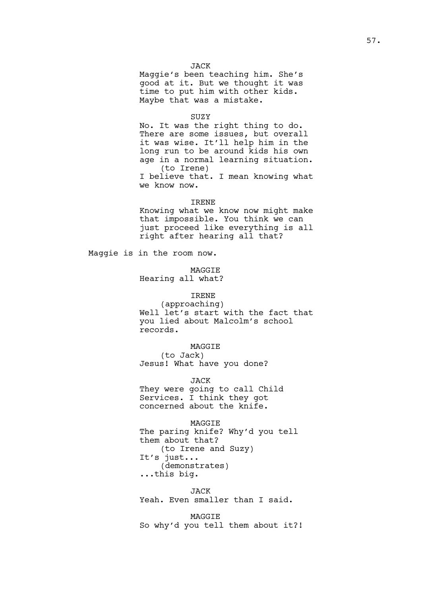### JACK

Maggie's been teaching him. She's good at it. But we thought it was time to put him with other kids. Maybe that was a mistake.

#### SUZY

No. It was the right thing to do. There are some issues, but overall it was wise. It'll help him in the long run to be around kids his own age in a normal learning situation. (to Irene) I believe that. I mean knowing what we know now.

### IRENE

Knowing what we know now might make that impossible. You think we can just proceed like everything is all right after hearing all that?

Maggie is in the room now.

MAGGIE

Hearing all what?

### IRENE

(approaching) Well let's start with the fact that you lied about Malcolm's school records.

#### MAGGIE

(to Jack) Jesus! What have you done?

JACK

They were going to call Child Services. I think they got concerned about the knife.

MAGGIE The paring knife? Why'd you tell them about that? (to Irene and Suzy) It's just... (demonstrates) ...this big.

JACK Yeah. Even smaller than I said.

MAGGIE So why'd you tell them about it?!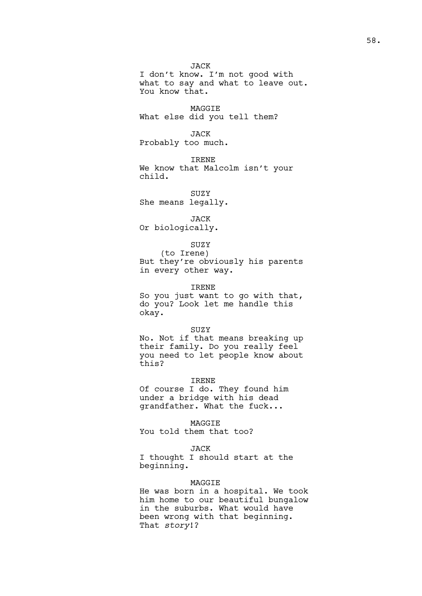JACK I don't know. I'm not good with what to say and what to leave out. You know that.

MAGGIE What else did you tell them?

JACK Probably too much.

IRENE We know that Malcolm isn't your child.

**SUZY** She means legally.

JACK Or biologically.

### SUZY

(to Irene) But they're obviously his parents in every other way.

IRENE

So you just want to go with that, do you? Look let me handle this okay.

#### SUZY

No. Not if that means breaking up their family. Do you really feel you need to let people know about this?

#### IRENE

Of course I do. They found him under a bridge with his dead grandfather. What the fuck...

MAGGIE

You told them that too?

### JACK

I thought I should start at the beginning.

### MAGGIE

He was born in a hospital. We took him home to our beautiful bungalow in the suburbs. What would have been wrong with that beginning. That *story*!?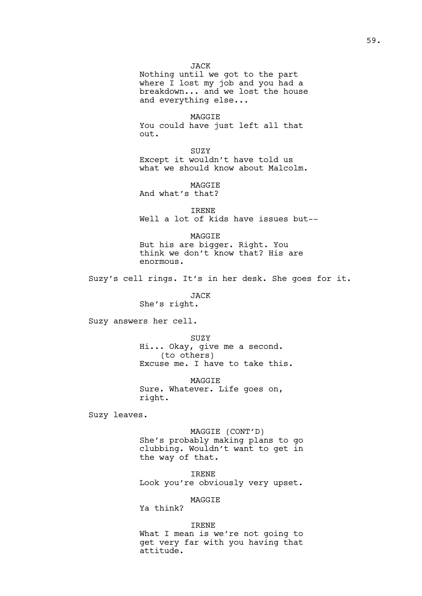JACK

Nothing until we got to the part where I lost my job and you had a breakdown... and we lost the house and everything else...

MAGGIE You could have just left all that out.

SUZY Except it wouldn't have told us what we should know about Malcolm.

MAGGIE And what's that?

IRENE Well a lot of kids have issues but--

MAGGIE But his are bigger. Right. You think we don't know that? His are enormous.

Suzy's cell rings. It's in her desk. She goes for it.

JACK

She's right.

Suzy answers her cell.

SUZY Hi... Okay, give me a second. (to others) Excuse me. I have to take this.

**MAGGTE** Sure. Whatever. Life goes on, right.

Suzy leaves.

MAGGIE (CONT'D) She's probably making plans to go clubbing. Wouldn't want to get in the way of that.

IRENE Look you're obviously very upset.

### MAGGIE

Ya think?

### IRENE

What I mean is we're not going to get very far with you having that attitude.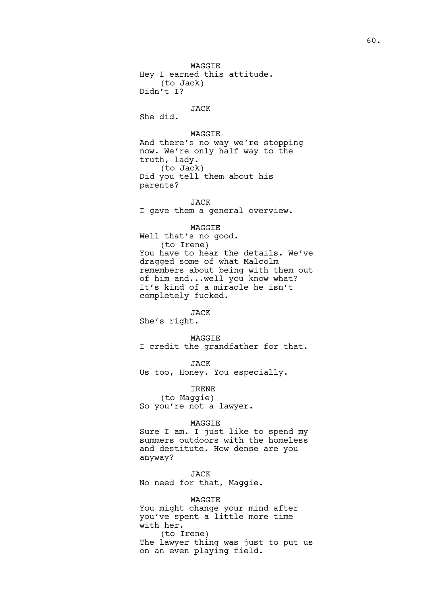MAGGIE Hey I earned this attitude. (to Jack) Didn't I?

### JACK

She did.

MAGGIE And there's no way we're stopping now. We're only half way to the truth, lady. (to Jack) Did you tell them about his parents?

### JACK

I gave them a general overview.

### MAGGIE

Well that's no good. (to Irene) You have to hear the details. We've dragged some of what Malcolm remembers about being with them out of him and...well you know what? It's kind of a miracle he isn't completely fucked.

### JACK

She's right.

MAGGIE I credit the grandfather for that.

JACK Us too, Honey. You especially.

IRENE

(to Maggie) So you're not a lawyer.

#### MAGGIE

Sure I am. I just like to spend my summers outdoors with the homeless and destitute. How dense are you anyway?

JACK No need for that, Maggie.

### MAGGIE

You might change your mind after you've spent a little more time with her. (to Irene)

The lawyer thing was just to put us on an even playing field.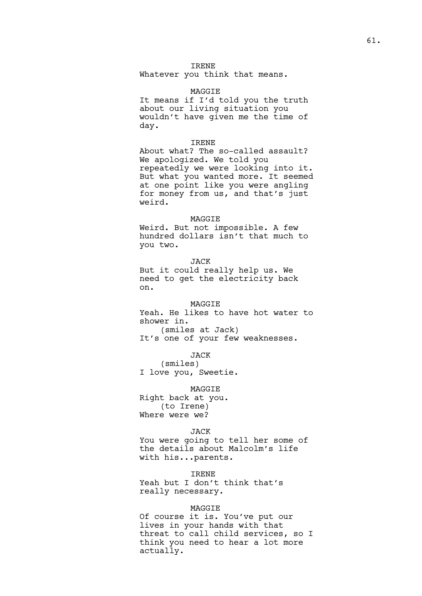### IRENE

Whatever you think that means.

#### MAGGIE

It means if I'd told you the truth about our living situation you wouldn't have given me the time of day.

### IRENE

About what? The so-called assault? We apologized. We told you repeatedly we were looking into it. But what you wanted more. It seemed at one point like you were angling for money from us, and that's just weird.

#### MAGGIE

Weird. But not impossible. A few hundred dollars isn't that much to you two.

JACK But it could really help us. We need to get the electricity back on.

### MAGGIE

Yeah. He likes to have hot water to shower in. (smiles at Jack)

It's one of your few weaknesses.

JACK

(smiles) I love you, Sweetie.

MAGGIE

Right back at you. (to Irene) Where were we?

### JACK

You were going to tell her some of the details about Malcolm's life with his...parents.

IRENE Yeah but I don't think that's really necessary.

#### MAGGIE

Of course it is. You've put our lives in your hands with that threat to call child services, so I think you need to hear a lot more actually.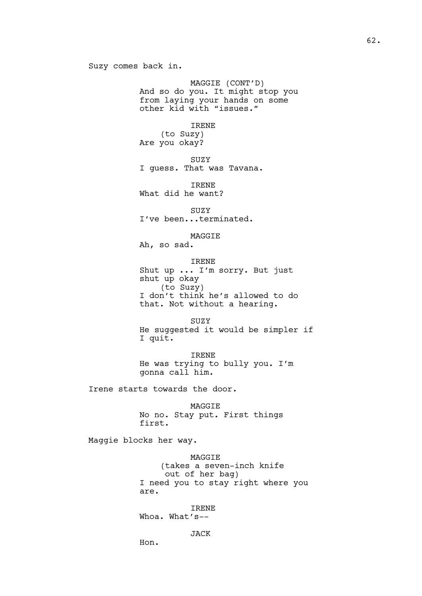Suzy comes back in.

MAGGIE (CONT'D) And so do you. It might stop you from laying your hands on some other kid with "issues."

IRENE

(to Suzy) Are you okay?

SUZY

I guess. That was Tavana.

IRENE What did he want?

SUZY I've been...terminated.

MAGGIE Ah, so sad.

IRENE

Shut up ... I'm sorry. But just shut up okay (to Suzy) I don't think he's allowed to do that. Not without a hearing.

SUZY He suggested it would be simpler if I quit.

IRENE He was trying to bully you. I'm gonna call him.

Irene starts towards the door.

MAGGIE No no. Stay put. First things first.

Maggie blocks her way.

Hon.

MAGGIE (takes a seven-inch knife out of her bag) I need you to stay right where you are.

IRENE Whoa. What's--

JACK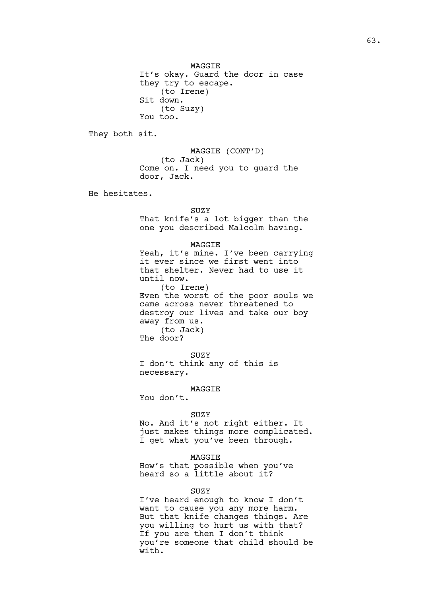MAGGIE It's okay. Guard the door in case they try to escape. (to Irene) Sit down. (to Suzy) You too.

They both sit.

MAGGIE (CONT'D) (to Jack) Come on. I need you to guard the door, Jack.

He hesitates.

SUZY That knife's a lot bigger than the one you described Malcolm having.

#### MAGGIE

Yeah, it's mine. I've been carrying it ever since we first went into that shelter. Never had to use it until now. (to Irene) Even the worst of the poor souls we came across never threatened to destroy our lives and take our boy away from us. (to Jack) The door?

SUZY I don't think any of this is necessary.

MAGGIE

You don't.

### SUZY

No. And it's not right either. It just makes things more complicated. I get what you've been through.

#### MAGGIE

How's that possible when you've heard so a little about it?

### SUZY

I've heard enough to know I don't want to cause you any more harm. But that knife changes things. Are you willing to hurt us with that? If you are then I don't think you're someone that child should be with.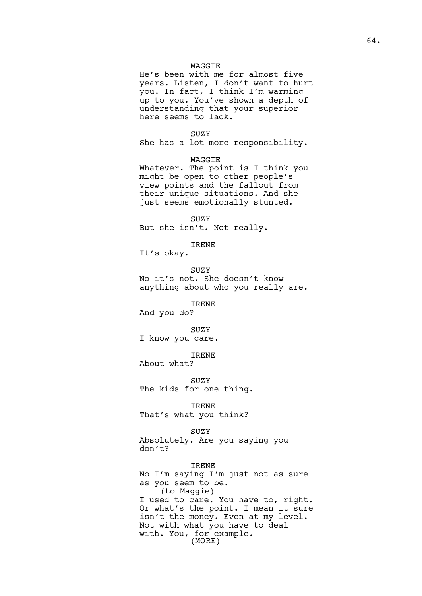### MAGGIE

He's been with me for almost five years. Listen, I don't want to hurt you. In fact, I think I'm warming up to you. You've shown a depth of understanding that your superior here seems to lack.

### SUZY

She has a lot more responsibility.

MAGGIE

Whatever. The point is I think you might be open to other people's view points and the fallout from their unique situations. And she just seems emotionally stunted.

SUZY But she isn't. Not really.

IRENE

It's okay.

SUZY No it's not. She doesn't know anything about who you really are.

IRENE

And you do?

SUZY I know you care.

IRENE

About what?

**SUZY** The kids for one thing.

IRENE That's what you think?

### SUZY

Absolutely. Are you saying you don't?

IRENE No I'm saying I'm just not as sure as you seem to be. (to Maggie) I used to care. You have to, right. Or what's the point. I mean it sure isn't the money. Even at my level. Not with what you have to deal with. You, for example. (MORE)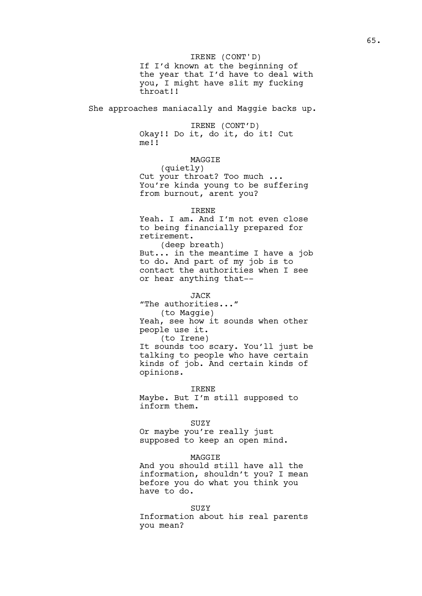If I'd known at the beginning of the year that I'd have to deal with you, I might have slit my fucking throat!! IRENE (CONT'D)

She approaches maniacally and Maggie backs up.

IRENE (CONT'D) Okay!! Do it, do it, do it! Cut me!!

# MAGGIE

(quietly) Cut your throat? Too much ... You're kinda young to be suffering from burnout, arent you?

### IRENE

Yeah. I am. And I'm not even close to being financially prepared for retirement.

(deep breath) But... in the meantime I have a job to do. And part of my job is to contact the authorities when I see or hear anything that--

#### JACK

"The authorities..." (to Maggie) Yeah, see how it sounds when other people use it. (to Irene) It sounds too scary. You'll just be talking to people who have certain kinds of job. And certain kinds of opinions.

IRENE Maybe. But I'm still supposed to inform them.

#### SUZY

Or maybe you're really just supposed to keep an open mind.

#### MAGGIE

And you should still have all the information, shouldn't you? I mean before you do what you think you have to do.

#### SUZY

Information about his real parents you mean?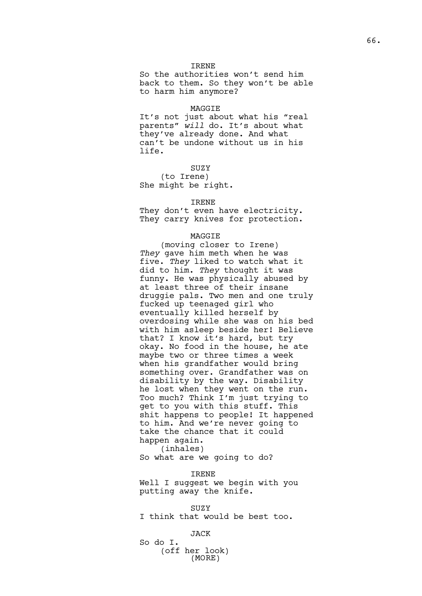### IRENE

So the authorities won't send him back to them. So they won't be able to harm him anymore?

#### MAGGIE

It's not just about what his "real parents" *will* do. It's about what they've already done. And what can't be undone without us in his life.

SUZY

(to Irene) She might be right.

#### IRENE

They don't even have electricity. They carry knives for protection.

#### MAGGIE

(moving closer to Irene) *They* gave him meth when he was five. *They* liked to watch what it did to him. *They* thought it was funny. He was physically abused by at least three of their insane druggie pals. Two men and one truly fucked up teenaged girl who eventually killed herself by overdosing while she was on his bed with him asleep beside her! Believe that? I know it's hard, but try okay. No food in the house, he ate maybe two or three times a week when his grandfather would bring something over. Grandfather was on disability by the way. Disability he lost when they went on the run. Too much? Think I'm just trying to get to you with this stuff. This shit happens to people! It happened to him. And we're never going to take the chance that it could happen again.

(inhales) So what are we going to do?

#### IRENE

Well I suggest we begin with you putting away the knife.

SUZY I think that would be best too.

#### JACK

So do I. (off her look) (MORE)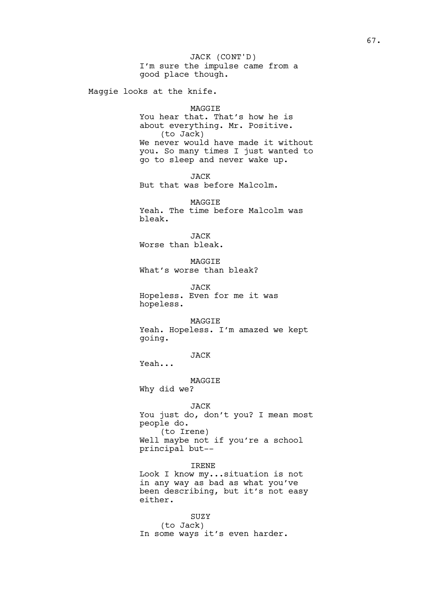I'm sure the impulse came from a good place though. Maggie looks at the knife. MAGGIE You hear that. That's how he is about everything. Mr. Positive. (to Jack) We never would have made it without you. So many times I just wanted to go to sleep and never wake up. JACK But that was before Malcolm. MAGGIE Yeah. The time before Malcolm was bleak. JACK Worse than bleak. MAGGIE What's worse than bleak? JACK Hopeless. Even for me it was hopeless. MAGGIE Yeah. Hopeless. I'm amazed we kept going. JACK Yeah... MAGGIE Why did we? JACK You just do, don't you? I mean most people do. (to Irene) Well maybe not if you're a school principal but-- IRENE Look I know my...situation is not in any way as bad as what you've been describing, but it's not easy either. SUZY (to Jack) In some ways it's even harder. JACK (CONT'D)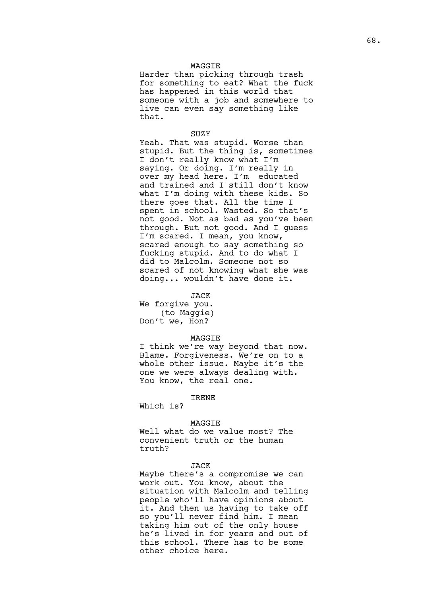### MAGGIE

Harder than picking through trash for something to eat? What the fuck has happened in this world that someone with a job and somewhere to live can even say something like that.

#### **SUZY**

Yeah. That was stupid. Worse than stupid. But the thing is, sometimes I don't really know what I'm saying. Or doing. I'm really in over my head here. I'm educated and trained and I still don't know what I'm doing with these kids. So there goes that. All the time I spent in school. Wasted. So that's not good. Not as bad as you've been through. But not good. And I guess I'm scared. I mean, you know, scared enough to say something so fucking stupid. And to do what I did to Malcolm. Someone not so scared of not knowing what she was doing... wouldn't have done it.

#### JACK

We forgive you. (to Maggie) Don't we, Hon?

#### MAGGIE

I think we're way beyond that now. Blame. Forgiveness. We're on to a whole other issue. Maybe it's the one we were always dealing with. You know, the real one.

### IRENE

Which is?

#### MAGGIE

Well what do we value most? The convenient truth or the human truth?

#### JACK

Maybe there's a compromise we can work out. You know, about the situation with Malcolm and telling people who'll have opinions about it. And then us having to take off so you'll never find him. I mean taking him out of the only house he's lived in for years and out of this school. There has to be some other choice here.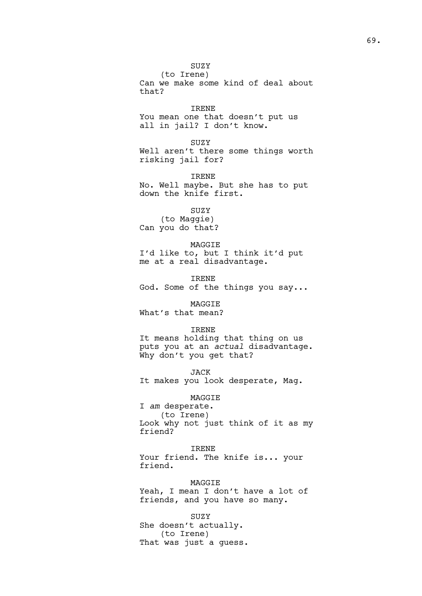SUZY

(to Irene) Can we make some kind of deal about that?

IRENE You mean one that doesn't put us all in jail? I don't know.

SUZY Well aren't there some things worth risking jail for?

IRENE No. Well maybe. But she has to put down the knife first.

SUZY (to Maggie) Can you do that?

MAGGIE I'd like to, but I think it'd put me at a real disadvantage.

IRENE God. Some of the things you say...

MAGGIE What's that mean?

### IRENE

It means holding that thing on us puts you at an *actual* disadvantage. Why don't you get that?

JACK It makes you look desperate, Mag.

MAGGIE

I *am* desperate.

(to Irene) Look why not just think of it as my friend?

IRENE Your friend. The knife is... your friend.

MAGGIE Yeah, I mean I don't have a lot of friends, and you have so many.

SUZY She doesn't actually. (to Irene) That was just a guess.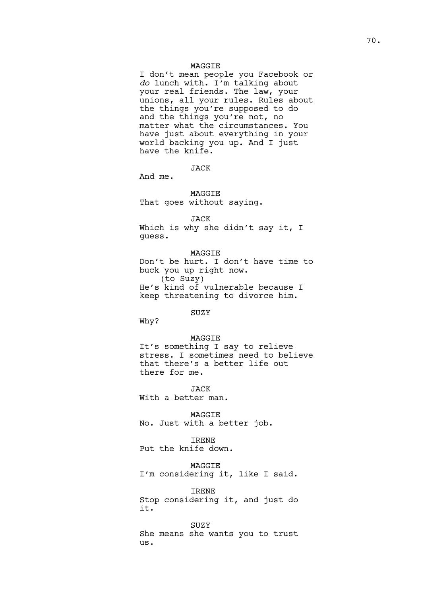#### MAGGIE

I don't mean people you Facebook or *do* lunch with. I'm talking about your real friends. The law, your unions, all your rules. Rules about the things you're supposed to do and the things you're not, no matter what the circumstances. You have just about everything in your world backing you up. And I just have the knife.

**JACK** 

And me.

### MAGGIE That goes without saying.

JACK

Which is why she didn't say it, I guess.

MAGGIE Don't be hurt. I don't have time to buck you up right now. (to Suzy) He's kind of vulnerable because I keep threatening to divorce him.

### SUZY

Why?

#### MAGGIE

It's something I say to relieve stress. I sometimes need to believe that there's a better life out there for me.

JACK With a better man.

MAGGIE No. Just with a better job.

IRENE

Put the knife down.

MAGGIE I'm considering it, like I said.

IRENE Stop considering it, and just do it.

SUZY She means she wants you to trust us.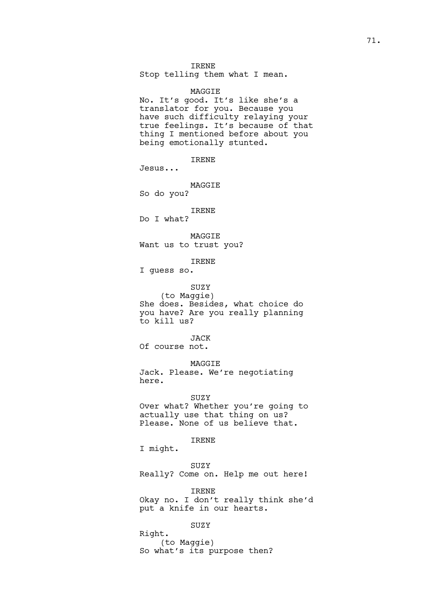### IRENE

Stop telling them what I mean.

MAGGIE No. It's good. It's like she's a translator for you. Because you have such difficulty relaying your true feelings. It's because of that thing I mentioned before about you being emotionally stunted.

IRENE

Jesus...

# MAGGIE

So do you?

#### IRENE Do I what?

MAGGIE

Want us to trust you?

### IRENE

I guess so.

# SUZY

(to Maggie) She does. Besides, what choice do you have? Are you really planning to kill us?

### JACK

Of course not.

# MAGGIE

Jack. Please. We're negotiating here.

#### SUZY

Over what? Whether you're going to actually use that thing on us? Please. None of us believe that.

### IRENE

I might.

### SUZY

Really? Come on. Help me out here!

### IRENE

Okay no. I don't really think she'd put a knife in our hearts.

# SUZY

Right. (to Maggie) So what's its purpose then?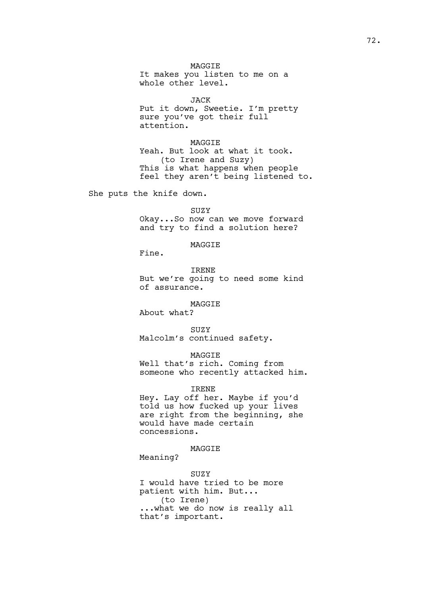MAGGIE It makes you listen to me on a whole other level.

JACK

Put it down, Sweetie. I'm pretty sure you've got their full attention.

MAGGIE Yeah. But look at what it took. (to Irene and Suzy) This is what happens when people feel they aren't being listened to.

She puts the knife down.

SUZY Okay...So now can we move forward and try to find a solution here?

MAGGIE

Fine.

IRENE But we're going to need some kind of assurance.

MAGGIE

About what?

SUZY Malcolm's continued safety.

MAGGIE

Well that's rich. Coming from someone who recently attacked him.

IRENE

Hey. Lay off her. Maybe if you'd told us how fucked up your lives are right from the beginning, she would have made certain concessions.

MAGGIE

Meaning?

SUZY I would have tried to be more patient with him. But... (to Irene) ...what we do now is really all that's important.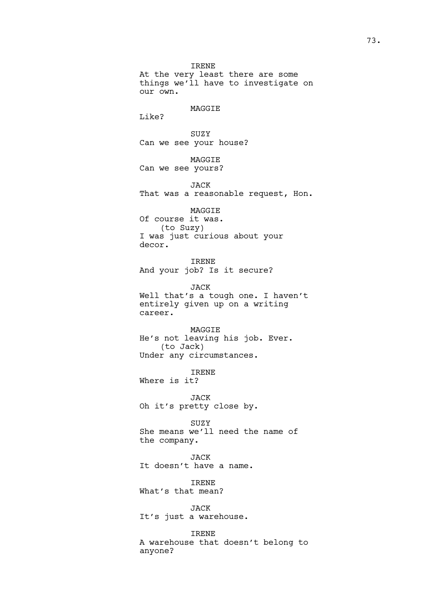IRENE At the very least there are some things we'll have to investigate on our own.

### MAGGIE

Like?

SUZY Can we see your house?

MAGGIE Can we see yours?

JACK That was a reasonable request, Hon.

MAGGIE Of course it was. (to Suzy) I was just curious about your decor.

IRENE And your job? Is it secure?

JACK Well that's a tough one. I haven't entirely given up on a writing career.

MAGGIE He's not leaving his job. Ever. (to Jack) Under any circumstances.

IRENE Where is it?

JACK Oh it's pretty close by.

SUZY She means we'll need the name of the company.

JACK It doesn't have a name.

IRENE What's that mean?

JACK It's just a warehouse.

IRENE A warehouse that doesn't belong to anyone?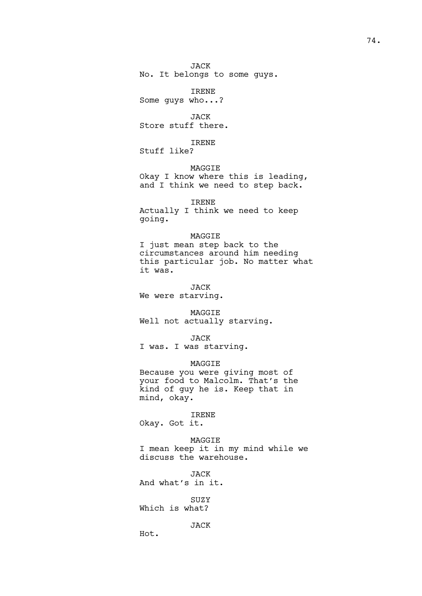JACK

No. It belongs to some guys.

IRENE Some guys who...?

JACK Store stuff there.

IRENE

Stuff like?

MAGGIE Okay I know where this is leading, and I think we need to step back.

IRENE

Actually I think we need to keep going.

## MAGGIE

I just mean step back to the circumstances around him needing this particular job. No matter what it was.

JACK We were starving.

MAGGIE Well not actually starving.

JACK I was. I was starving.

MAGGIE

Because you were giving most of your food to Malcolm. That's the kind of guy he is. Keep that in mind, okay.

## IRENE

Okay. Got it.

MAGGIE I mean keep it in my mind while we discuss the warehouse.

JACK

And what's in it.

SUZY Which is what?

JACK

Hot.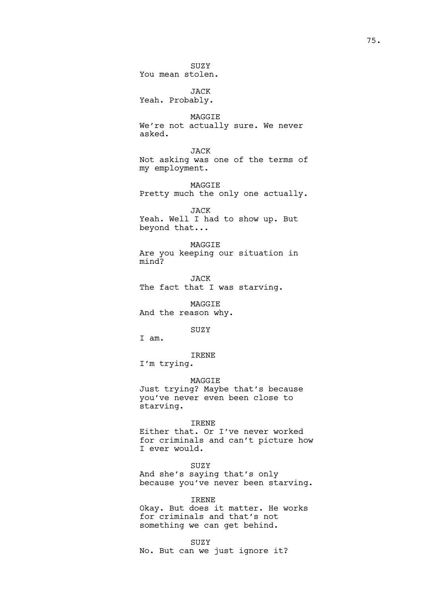SUZY You mean stolen.

JACK Yeah. Probably.

MAGGIE We're not actually sure. We never asked.

JACK Not asking was one of the terms of my employment.

MAGGIE Pretty much the only one actually.

JACK Yeah. Well I had to show up. But beyond that...

MAGGIE Are you keeping our situation in mind?

JACK The fact that I was starving.

MAGGIE And the reason why.

SUZY

I am.

IRENE

I'm trying.

MAGGIE

Just trying? Maybe that's because you've never even been close to starving.

IRENE

Either that. Or I've never worked for criminals and can't picture how I ever would.

SUZY And she's saying that's only because you've never been starving.

IRENE

Okay. But does it matter. He works for criminals and that's not something we can get behind.

SUZY

No. But can we just ignore it?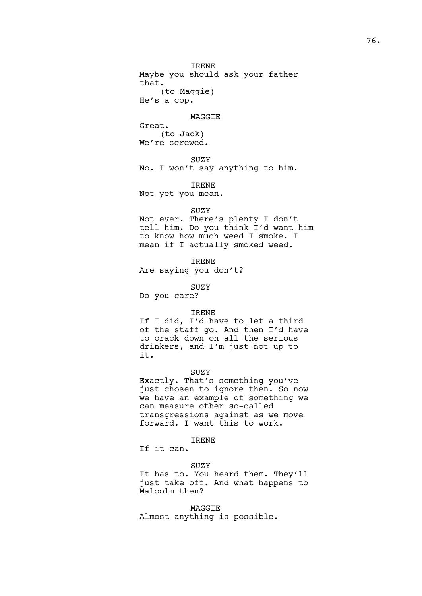IRENE Maybe you should ask your father that. (to Maggie) He's a cop.

#### MAGGIE

Great. (to Jack) We're screwed.

## **SUZY**

No. I won't say anything to him.

## IRENE

Not yet you mean.

### SUZY

Not ever. There's plenty I don't tell him. Do you think I'd want him to know how much weed I smoke. I mean if I actually smoked weed.

IRENE

Are saying you don't?

SUZY Do you care?

### IRENE

If I did, I'd have to let a third of the staff go. And then I'd have to crack down on all the serious drinkers, and I'm just not up to it.

## SUZY

Exactly. That's something you've just chosen to ignore then. So now we have an example of something we can measure other so-called transgressions against as we move forward. I want this to work.

### IRENE

If it can.

## SUZY

It has to. You heard them. They'll just take off. And what happens to Malcolm then?

MAGGIE Almost anything is possible.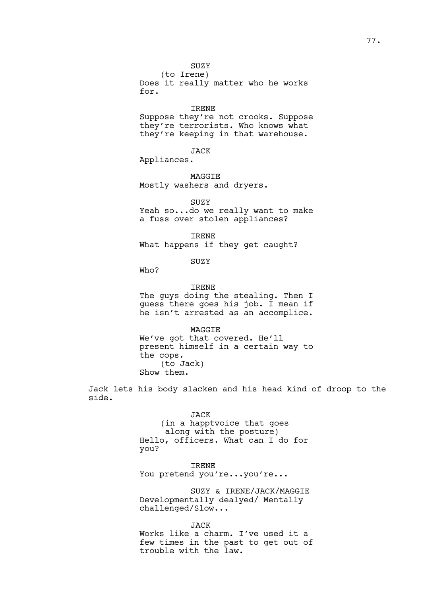(to Irene) Does it really matter who he works for.

IRENE Suppose they're not crooks. Suppose they're terrorists. Who knows what they're keeping in that warehouse.

JACK

Appliances.

MAGGIE Mostly washers and dryers.

SUZY Yeah so...do we really want to make a fuss over stolen appliances?

IRENE What happens if they get caught?

SUZY

Who?

IRENE

The guys doing the stealing. Then I guess there goes his job. I mean if he isn't arrested as an accomplice.

MAGGIE We've got that covered. He'll present himself in a certain way to the cops. (to Jack) Show them.

Jack lets his body slacken and his head kind of droop to the side.

> JACK (in a happtvoice that goes along with the posture) Hello, officers. What can I do for you?

IRENE You pretend you're...you're...

SUZY & IRENE/JACK/MAGGIE Developmentally dealyed/ Mentally challenged/Slow...

JACK Works like a charm. I've used it a few times in the past to get out of trouble with the law.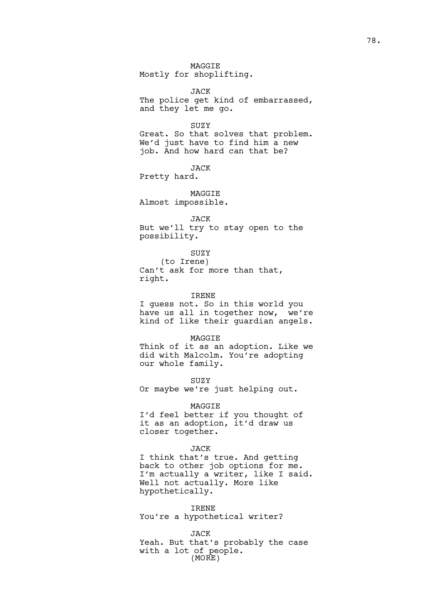MAGGIE Mostly for shoplifting.

JACK The police get kind of embarrassed, and they let me go.

### SUZY

Great. So that solves that problem. We'd just have to find him a new job. And how hard can that be?

JACK

Pretty hard.

MAGGIE Almost impossible.

#### JACK

But we'll try to stay open to the possibility.

SUZY

(to Irene) Can't ask for more than that, right.

IRENE

I guess not. So in this world you have us all in together now, we're kind of like their guardian angels.

MAGGIE

Think of it as an adoption. Like we did with Malcolm. You're adopting our whole family.

SUZY

Or maybe we're just helping out.

MAGGIE

I'd feel better if you thought of it as an adoption, it'd draw us closer together.

### JACK

I think that's true. And getting back to other job options for me. I'm actually a writer, like I said. Well not actually. More like hypothetically.

IRENE You're a hypothetical writer?

JACK Yeah. But that's probably the case with a lot of people. (MORE)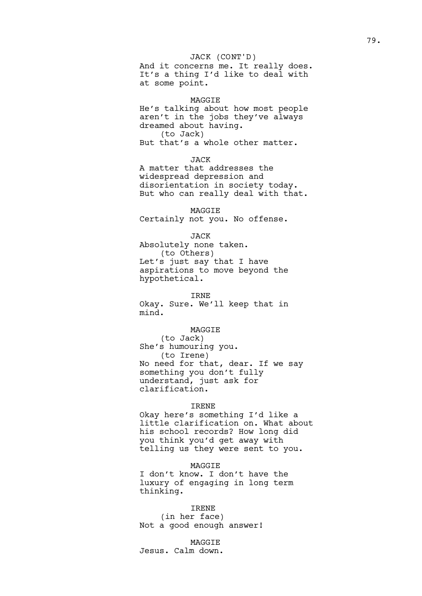## JACK (CONT'D)

And it concerns me. It really does. It's a thing I'd like to deal with at some point.

### MAGGIE

He's talking about how most people aren't in the jobs they've always dreamed about having. (to Jack) But that's a whole other matter.

**JACK** 

A matter that addresses the widespread depression and disorientation in society today. But who can really deal with that.

MAGGIE Certainly not you. No offense.

#### JACK

Absolutely none taken. (to Others) Let's just say that I have aspirations to move beyond the hypothetical.

IRNE

Okay. Sure. We'll keep that in mind.

## MAGGIE

(to Jack) She's humouring you. (to Irene) No need for that, dear. If we say something you don't fully understand, just ask for clarification.

### IRENE

Okay here's something I'd like a little clarification on. What about his school records? How long did you think you'd get away with telling us they were sent to you.

MAGGIE I don't know. I don't have the luxury of engaging in long term thinking.

IRENE (in her face) Not a good enough answer!

MAGGIE Jesus. Calm down.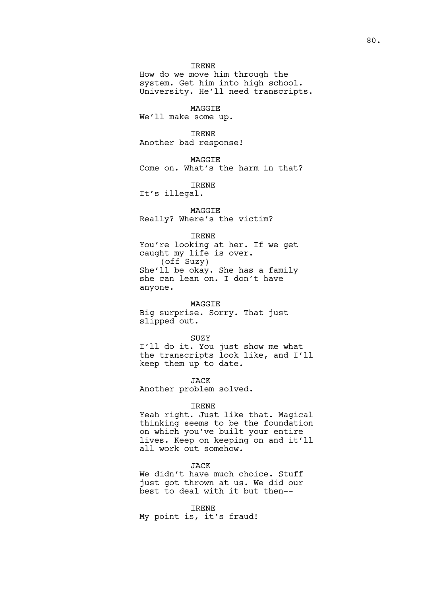### IRENE

How do we move him through the system. Get him into high school. University. He'll need transcripts.

MAGGIE We'll make some up.

IRENE Another bad response!

**MAGGTE** Come on. What's the harm in that?

IRENE

It's illegal.

MAGGIE Really? Where's the victim?

#### IRENE

You're looking at her. If we get caught my life is over. (off Suzy) She'll be okay. She has a family she can lean on. I don't have anyone.

#### MAGGIE

Big surprise. Sorry. That just slipped out.

SUZY I'll do it. You just show me what the transcripts look like, and I'll keep them up to date.

JACK

Another problem solved.

### IRENE

Yeah right. Just like that. Magical thinking seems to be the foundation on which you've built your entire lives. Keep on keeping on and it'll all work out somehow.

## JACK

We didn't have much choice. Stuff just got thrown at us. We did our best to deal with it but then--

IRENE My point is, it's fraud!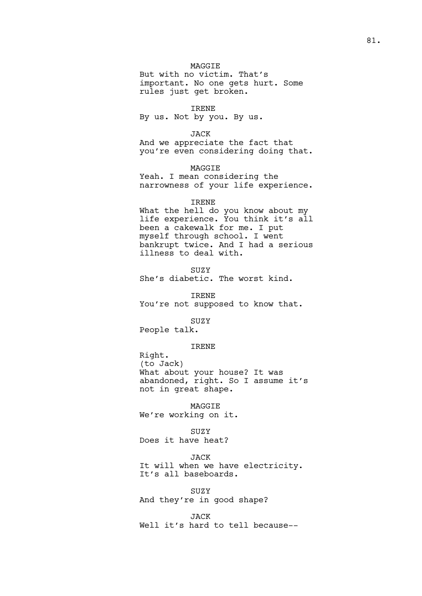## MAGGIE

But with no victim. That's important. No one gets hurt. Some rules just get broken.

IRENE

By us. Not by you. By us.

JACK

And we appreciate the fact that you're even considering doing that.

MAGGIE Yeah. I mean considering the narrowness of your life experience.

### IRENE

What the hell do you know about my life experience. You think it's all been a cakewalk for me. I put myself through school. I went bankrupt twice. And I had a serious illness to deal with.

SUZY

She's diabetic. The worst kind.

IRENE You're not supposed to know that.

SUZY

People talk.

### IRENE

Right. (to Jack) What about your house? It was abandoned, right. So I assume it's not in great shape.

MAGGIE We're working on it.

# SUZY

Does it have heat?

### JACK

It will when we have electricity. It's all baseboards.

SUZY And they're in good shape?

JACK

Well it's hard to tell because--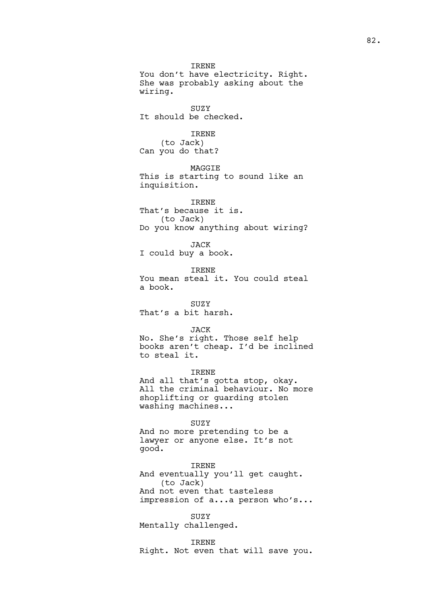IRENE You don't have electricity. Right. She was probably asking about the wiring. SUZY It should be checked. IRENE (to Jack) Can you do that? MAGGIE This is starting to sound like an inquisition. IRENE That's because it is. (to Jack) Do you know anything about wiring? JACK I could buy a book. IRENE You mean steal it. You could steal a book. **SUZY** That's a bit harsh. JACK No. She's right. Those self help books aren't cheap. I'd be inclined to steal it. IRENE And all that's gotta stop, okay. All the criminal behaviour. No more shoplifting or guarding stolen washing machines... SUZY And no more pretending to be a

lawyer or anyone else. It's not good.

IRENE And eventually you'll get caught. (to Jack) And not even that tasteless impression of a...a person who's...

SUZY Mentally challenged.

IRENE

Right. Not even that will save you.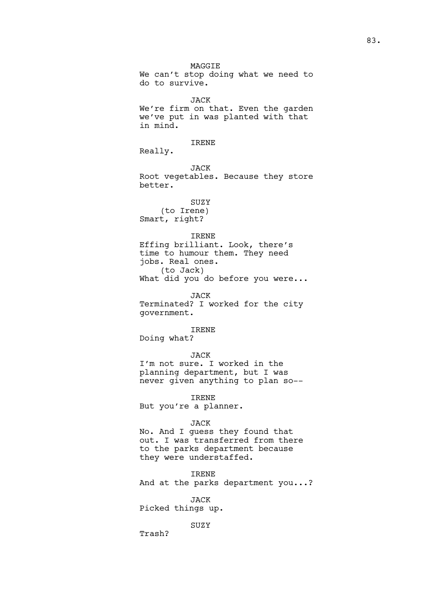MAGGIE We can't stop doing what we need to do to survive. JACK We're firm on that. Even the garden we've put in was planted with that in mind. IRENE Really. JACK Root vegetables. Because they store better. SUZY (to Irene) Smart, right? IRENE Effing brilliant. Look, there's time to humour them. They need jobs. Real ones. (to Jack) What did you do before you were... JACK Terminated? I worked for the city government. IRENE Doing what? JACK I'm not sure. I worked in the planning department, but I was never given anything to plan so--

IRENE But you're a planner.

### JACK

No. And I guess they found that out. I was transferred from there to the parks department because they were understaffed.

IRENE And at the parks department you...?

JACK Picked things up.

SUZY

Trash?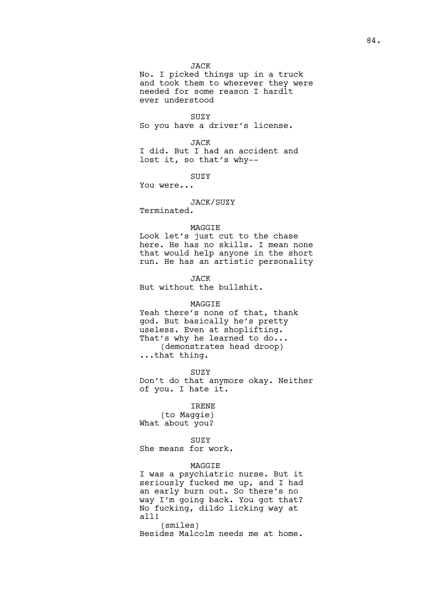## JACK

No. I picked things up in a truck and took them to wherever they were needed for some reason I hardlt ever understood

SUZY So you have a driver's license.

JACK I did. But I had an accident and lost it, so that's why--

SUZY

You were...

## JACK/SUZY

Terminated.

### MAGGIE

Look let's just cut to the chase here. He has no skills. I mean none that would help anyone in the short run. He has an artistic personality

JACK

But without the bullshit.

### MAGGIE

Yeah there's none of that, thank god. But basically he's pretty useless. Even at shoplifting. That's why he learned to do... (demonstrates head droop) ...that thing.

**SUZY** 

Don't do that anymore okay. Neither of you. I hate it.

## IRENE

(to Maggie) What about you?

## SUZY

She means for work.

## MAGGIE

I was a psychiatric nurse. But it seriously fucked me up, and I had an early burn out. So there's no way I'm going back. You got that? No fucking, dildo licking way at all!

(smiles) Besides Malcolm needs me at home.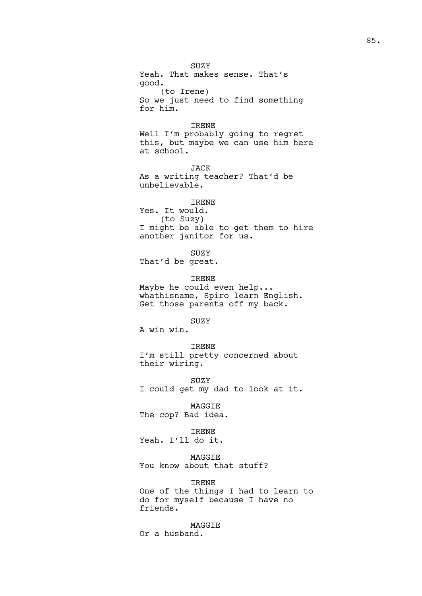SUZY Yeah. That makes sense. That's good. (to Irene) So we just need to find something for him. IRENE Well I'm probably going to regret this, but maybe we can use him here at school. JACK As a writing teacher? That'd be unbelievable. IRENE Yes. It would. (to Suzy) I might be able to get them to hire another janitor for us. SUZY That'd be great. IRENE Maybe he could even help... whathisname, Spiro learn English. Get those parents off my back. SUZY A win win. IRENE I'm still pretty concerned about their wiring. SUZY I could get my dad to look at it. MAGGIE The cop? Bad idea. IRENE Yeah. I'll do it. MAGGIE You know about that stuff? IRENE One of the things I had to learn to do for myself because I have no

MAGGIE

Or a husband.

friends.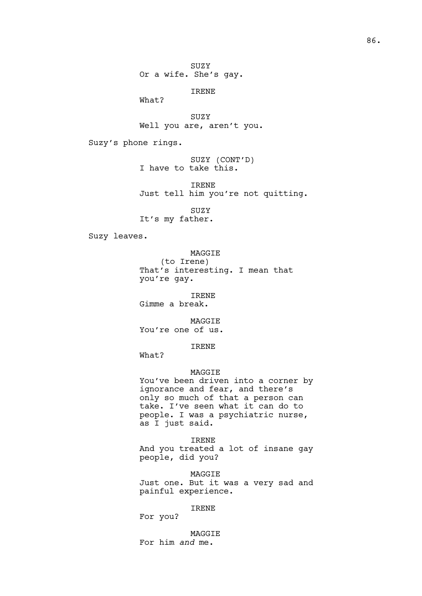SUZY

Or a wife. She's gay.

IRENE

What?

SUZY Well you are, aren't you.

Suzy's phone rings.

SUZY (CONT'D) I have to take this.

IRENE Just tell him you're not quitting.

SUZY It's my father.

Suzy leaves.

MAGGIE

(to Irene) That's interesting. I mean that you're gay.

IRENE Gimme a break.

MAGGIE

You're one of us.

IRENE

What?

# MAGGIE

You've been driven into a corner by ignorance and fear, and there's only so much of that a person can take. I've seen what it can do to people. I was a psychiatric nurse, as I just said.

IRENE And you treated a lot of insane gay people, did you?

MAGGIE Just one. But it was a very sad and painful experience.

IRENE

For you?

MAGGIE For him *and* me.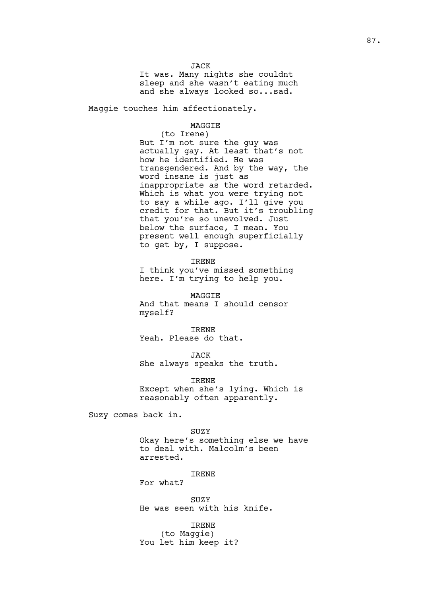**JACK** 

It was. Many nights she couldnt sleep and she wasn't eating much and she always looked so...sad.

Maggie touches him affectionately.

## MAGGIE

(to Irene) But I'm not sure the guy was actually gay. At least that's not how he identified. He was transgendered. And by the way, the word insane is just as inappropriate as the word retarded. Which is what you were trying not to say a while ago. I'll give you credit for that. But it's troubling that you're so unevolved. Just below the surface, I mean. You present well enough superficially to get by, I suppose.

IRENE

I think you've missed something here. I'm trying to help you.

MAGGIE And that means I should censor myself?

IRENE Yeah. Please do that.

JACK She always speaks the truth.

IRENE Except when she's lying. Which is reasonably often apparently.

Suzy comes back in.

SUZY

Okay here's something else we have to deal with. Malcolm's been arrested.

#### IRENE

For what?

SUZY He was seen with his knife.

IRENE (to Maggie) You let him keep it?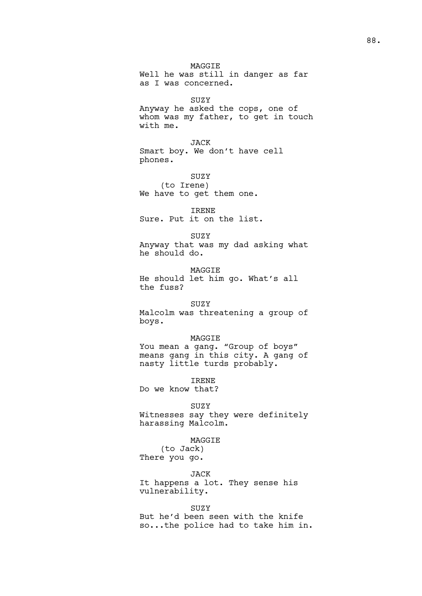MAGGIE Well he was still in danger as far as I was concerned.

SUZY

Anyway he asked the cops, one of whom was my father, to get in touch with me.

JACK Smart boy. We don't have cell phones.

SUZY (to Irene) We have to get them one.

IRENE Sure. Put it on the list.

SUZY Anyway that was my dad asking what he should do.

MAGGIE He should let him go. What's all the fuss?

SUZY

Malcolm was threatening a group of boys.

MAGGIE

You mean a gang. "Group of boys" means gang in this city. A gang of nasty little turds probably.

IRENE

Do we know that?

SUZY

Witnesses say they were definitely harassing Malcolm.

MAGGIE

(to Jack) There you go.

JACK It happens a lot. They sense his

vulnerability.

SUZY But he'd been seen with the knife so...the police had to take him in.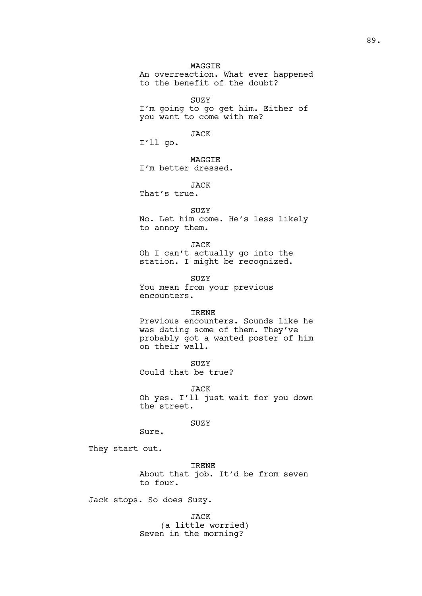MAGGIE

An overreaction. What ever happened to the benefit of the doubt?

SUZY

I'm going to go get him. Either of you want to come with me?

JACK

I'll go.

**MAGGTE** I'm better dressed.

JACK

That's true.

SUZY No. Let him come. He's less likely to annoy them.

JACK Oh I can't actually go into the station. I might be recognized.

SUZY You mean from your previous encounters.

## IRENE

Previous encounters. Sounds like he was dating some of them. They've probably got a wanted poster of him on their wall.

SUZY Could that be true?

JACK Oh yes. I'll just wait for you down the street.

SUZY

Sure.

They start out.

IRENE About that job. It'd be from seven to four.

Jack stops. So does Suzy.

JACK (a little worried) Seven in the morning?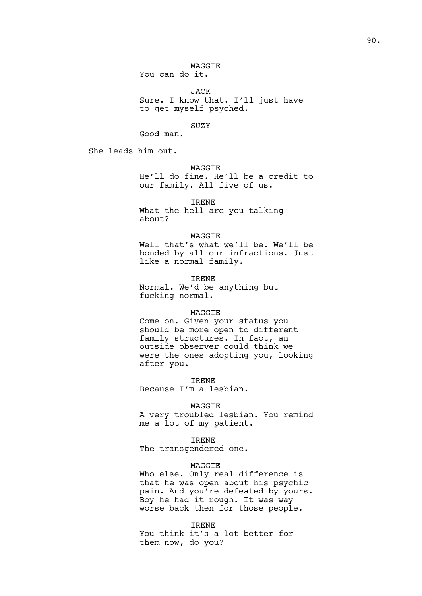You can do it.

JACK Sure. I know that. I'll just have to get myself psyched.

SUZY Good man.

She leads him out.

MAGGIE

He'll do fine. He'll be a credit to our family. All five of us.

IRENE

What the hell are you talking about?

### MAGGIE

Well that's what we'll be. We'll be bonded by all our infractions. Just like a normal family.

IRENE Normal. We'd be anything but fucking normal.

## MAGGIE

Come on. Given your status you should be more open to different family structures. In fact, an outside observer could think we were the ones adopting you, looking after you.

IRENE

Because I'm a lesbian.

## MAGGIE

A very troubled lesbian. You remind me a lot of my patient.

## IRENE

The transgendered one.

# MAGGIE

Who else. Only real difference is that he was open about his psychic pain. And you're defeated by yours. Boy he had it rough. It was way worse back then for those people.

IRENE

You think it's a lot better for them now, do you?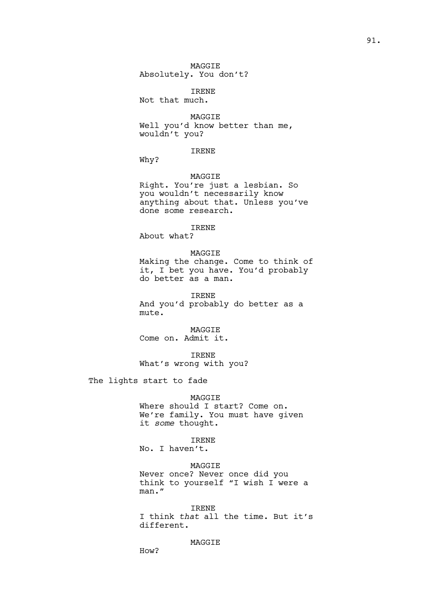MAGGIE Absolutely. You don't?

IRENE

Not that much.

MAGGIE

Well you'd know better than me, wouldn't you?

# IRENE

Why?

## MAGGIE

Right. You're just a lesbian. So you wouldn't necessarily know anything about that. Unless you've done some research.

# IRENE

About what?

## MAGGIE

Making the change. Come to think of it, I bet you have. You'd probably do better as a man.

IRENE

And you'd probably do better as a mute.

MAGGIE Come on. Admit it.

IRENE What's wrong with you?

The lights start to fade

## MAGGIE

Where should I start? Come on. We're family. You must have given it *some* thought.

## IRENE

No. I haven't.

# MAGGIE

Never once? Never once did you think to yourself "I wish I were a man."

### IRENE

I think *that* all the time. But it's different.

## MAGGIE

How?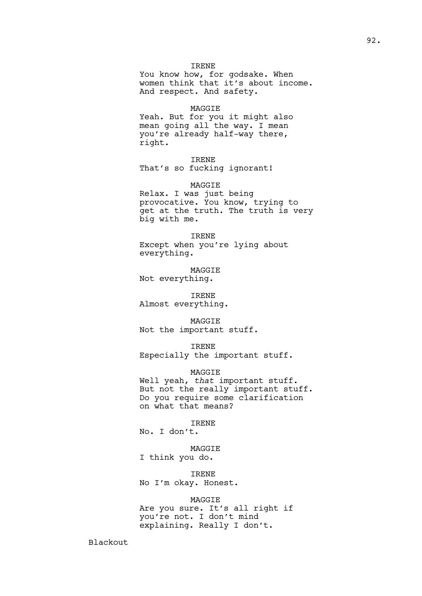## IRENE

You know how, for godsake. When women think that it's about income. And respect. And safety.

#### MAGGIE

Yeah. But for you it might also mean going all the way. I mean you're already half-way there, right.

### IRENE

That's so fucking ignorant!

## MAGGIE

Relax. I was just being provocative. You know, trying to get at the truth. The truth is very big with me.

### IRENE

Except when you're lying about everything.

MAGGIE Not everything.

IRENE Almost everything.

#### MAGGIE

Not the important stuff.

## IRENE

Especially the important stuff.

# MAGGIE

Well yeah, *that* important stuff. But not the really important stuff. Do you require some clarification on what that means?

#### IRENE

No. I don't.

# MAGGIE

I think you do.

## IRENE

No I'm okay. Honest.

### MAGGIE

Are you sure. It's all right if you're not. I don't mind explaining. Really I don't.

Blackout